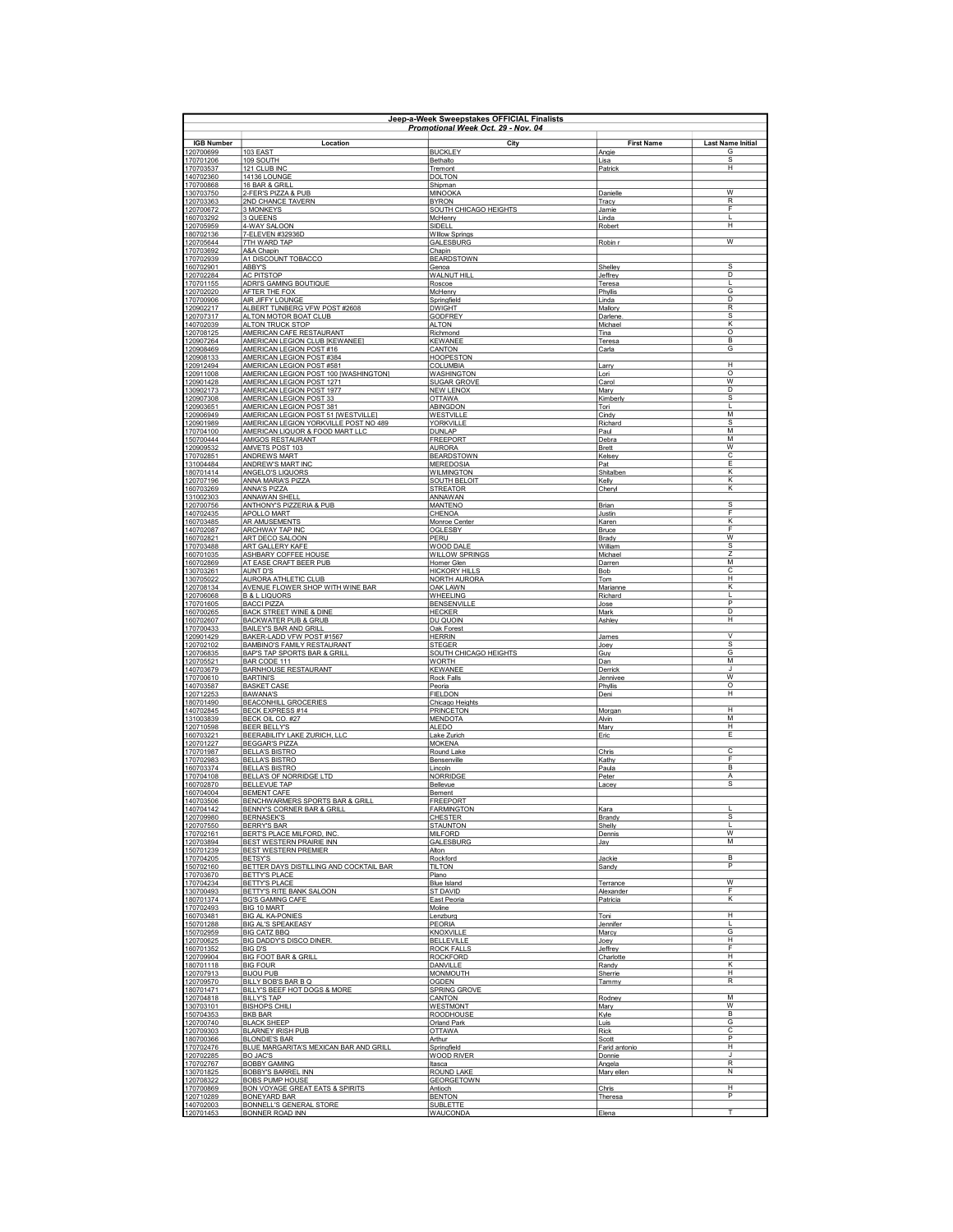|                        | Jeen-a-Week Sweenstakes OFFICIAL Finalists<br>Promotional Week Oct. 29 - Nov. 04 |                                        |                         |                              |  |
|------------------------|----------------------------------------------------------------------------------|----------------------------------------|-------------------------|------------------------------|--|
| <b>IGB Number</b>      | Location                                                                         | City                                   | <b>First Name</b>       | <b>Last Name Initial</b>     |  |
| 120700699              | 103 EAST<br>109 SOUTH                                                            | <b>BUCKLEY</b><br>Bethalto             | Angie                   | G<br>$\overline{s}$          |  |
| 170701206<br>170703537 | 121 CLUB INC                                                                     | Tremont                                | Lisa<br>Patrick         | н                            |  |
| 140702360<br>170700868 | 14136 LOUNGE<br>16 BAR & GRILL                                                   | <b>DOLTON</b><br>Shipman               |                         |                              |  |
| 130703750              | 2-FER'S PIZZA & PUB                                                              | <b>MINOOKA</b>                         | Danielle                | W                            |  |
| 120703363<br>120700672 | 2ND CHANCE TAVERN<br>3 MONKEYS                                                   | <b>BYRON</b><br>SOUTH CHICAGO HEIGHTS  | Tracy<br>Jamie          | R<br>E                       |  |
| 160703292              | 3 QUEENS                                                                         | McHenry                                | Linda                   | I.<br>H                      |  |
| 120705959<br>180702136 | 4-WAY SALOON<br>7-ELEVEN #32936D                                                 | SIDELL<br><b>Willow Springs</b>        | Robert                  |                              |  |
| 120705644<br>170703692 | 7TH WARD TAP<br>A&A Chapin                                                       | <b>GALESBURG</b><br>Chapin             | Robin r                 | $\overline{w}$               |  |
| 170702939              | A1 DISCOUNT TOBACCO                                                              | <b>BEARDSTOWN</b>                      |                         |                              |  |
| 160702901<br>120702284 | ABBY'S<br>AC PITSTOP                                                             | Genoa<br>WALNUT HILL                   | Shellev<br>Jeffrey      | $\overline{s}$<br>D          |  |
| 170701155<br>120702020 | ADRI'S GAMING BOUTIQUE<br>AFTER THE FOX                                          | Roscoe                                 | Teresa                  | п                            |  |
| 170700906              | AIR JIFFY LOUNGE                                                                 | McHenry<br>Springfield                 | Phyllis<br>Linda        | G<br>D                       |  |
| 120902217<br>120707317 | ALBERT TUNBERG VFW POST #2608<br>ALTON MOTOR BOAT CLUB                           | <b>DWIGHT</b><br><b>GODEREY</b>        | Mallory                 | R<br>s                       |  |
| 140702039              | ALTON TRUCK STOP                                                                 | <b>ALTON</b>                           | Darlene<br>Michael      | К                            |  |
| 120708125<br>120907264 | AMERICAN CAFE RESTAURANT<br>AMERICAN LEGION CLUB [KEWANEE]                       | Richmond<br><b>KEWANEE</b>             | Tina<br>Teresa          | $\circ$<br>B                 |  |
| 120908469              | AMERICAN LEGION POST #16                                                         | CANTON                                 | Carla                   | G                            |  |
| 120908133<br>120912494 | AMERICAN LEGION POST #384<br>AMERICAN LEGION POST #581                           | <b>HOOPESTON</b><br><b>COLUMBIA</b>    | Larry                   | $\overline{H}$               |  |
| 120911008              | AMERICAN LEGION POST 100 [WASHINGTON]                                            | WASHINGTON                             | Lori                    | $\circ$<br>w                 |  |
| 120901428<br>130902173 | AMERICAN LEGION POST 1271<br>AMERICAN LEGION POST 1977                           | <b>SUGAR GROVE</b><br><b>NEW LENOX</b> | Carol<br>Mary           | D                            |  |
| 120907308<br>120903651 | AMERICAN LEGION POST 33<br>AMERICAN LEGION POST 381                              | <b>OTTAWA</b><br>ABINGDON              | <b>Kimberly</b><br>Tori | <sub>S</sub>                 |  |
| 120906949              | AMERICAN LEGION POST 51 [WESTVILLE]                                              | WESTVILLE                              | Cindy                   | м                            |  |
| 120901989<br>170704100 | AMERICAN LEGION YORKVILLE POST NO 489<br>AMERICAN LIQUOR & FOOD MART LLC         | YORKVILLE<br><b>DUNLAP</b>             | Richard<br>Paul         | s<br>M                       |  |
| 150700444              | AMIGOS RESTAURANT                                                                | <b>FREEPORT</b>                        | Debra                   | M<br>$\overline{w}$          |  |
| 120909532<br>170702851 | AMVETS POST 103<br>ANDREWS MART                                                  | <b>AURORA</b><br><b>BEARDSTOWN</b>     | <b>Brett</b><br>Kelsev  | C                            |  |
| 131004484<br>180701414 | ANDREW'S MART INC<br>ANGELO'S LIQUORS                                            | MEREDOSIA<br><b>WILMINGTON</b>         | Pat<br>Shitalben        | E<br>$\overline{\mathsf{K}}$ |  |
| 120707196              | ANNA MARIA'S PIZZA                                                               | <b>SOUTH BELOIT</b>                    | Kelly                   | Κ                            |  |
| 160703269<br>131002303 | ANNA'S PIZZA<br>ANNAWAN SHELL                                                    | <b>STREATOR</b><br><b>ANNAWAN</b>      | Cheryl                  | κ                            |  |
| 120700756              | ANTHONY'S PIZZERIA & PUB                                                         | <b>MANTENO</b>                         | Brian                   | s                            |  |
| 140702435<br>160703485 | APOLLO MART<br>AR AMUSEMENTS                                                     | CHENOA<br>Monroe Center                | Justin<br><u>Karen</u>  | F<br>К                       |  |
| 140702087              | <b>ARCHWAY TAP INC</b>                                                           | <b>OGLESBY</b>                         | <b>Bruce</b>            | E                            |  |
| 160702821<br>170703488 | ART DECO SALOON<br><b>ART GALLERY KAFE</b>                                       | PERU<br>WOOD DALE                      | Brady<br>William        | W<br>s                       |  |
| 160701035              | ASHBARY COFFEE HOUSE<br>AT EASE CRAFT BEER PUB                                   | <b>WILLOW SPRINGS</b><br>Homer Glen    | Michael                 | Z<br>м                       |  |
| 160702869<br>130703261 | AUNT D'S                                                                         | <b>HICKORY HILLS</b>                   | Darren<br>Bob           | $\overline{c}$               |  |
| 130705022<br>120708134 | AURORA ATHLETIC CLUB<br>AVENUE FLOWER SHOP WITH WINE BAR                         | NORTH AURORA<br>OAK LAWN               | Tom<br>Marianne         | н<br>К                       |  |
| 120706068              | <b>B &amp; L LIQUORS</b>                                                         | WHEELING                               | Richard                 | I.                           |  |
| 170701605<br>160700265 | <b>BACCI PIZZA</b><br>BACK STREET WINE & DINE                                    | <b>BENSENVILLE</b><br><b>HECKER</b>    | Jose<br>Mark            | P<br>D                       |  |
| 160702607              | <b>BACKWATER PUB &amp; GRUB</b>                                                  | DU QUOIN                               | Ashley                  | H                            |  |
| 170700433<br>120901429 | BAILEY'S BAR AND GRILL<br>BAKER-LADD VFW POST #1567                              | Oak Forest<br><b>HERRIN</b>            | James                   | $\overline{V}$               |  |
| 120702102<br>120706835 | <b>BAMBINO'S FAMILY RESTAURANT</b><br>BAP'S TAP SPORTS BAR & GRILL               | <b>STEGER</b><br>SOUTH CHICAGO HEIGHTS | Joey<br>Guy             | s<br>$\overline{\mathsf{G}}$ |  |
| 120705521              | BAR CODE 111                                                                     | <b>WORTH</b>                           | Dan                     | M                            |  |
| 140703679<br>170700610 | BARNHOUSE RESTAURANT<br><b>BARTINI'S</b>                                         | <b>KEWANEE</b><br><b>Rock Falls</b>    | Derrick<br>Jennivee     | $\cdot$<br>$\overline{w}$    |  |
| 140703587              | <b>BASKET CASE</b>                                                               | Peoria                                 | Phyllis                 | $\circ$                      |  |
| 120712253<br>180701490 | <b>BAWANA'S</b><br><b>BEACONHILL GROCERIES</b>                                   | <b>FIELDON</b><br>Chicago Heights      | Deni                    | н                            |  |
| 140702845<br>131003839 | <b>BECK EXPRESS #14</b><br>BECK OIL CO. #27                                      | <b>PRINCETON</b><br><b>MENDOTA</b>     | Morgan<br>Alvin         | н<br>M                       |  |
| 120710598              | <b>BEER BELLY'S</b>                                                              | <b>ALEDO</b>                           | Mary                    | н                            |  |
| 160703221<br>120701227 | BEERABILITY LAKE ZURICH, LLC<br><b>BEGGAR'S PIZZA</b>                            | Lake Zurich<br><b>MOKENA</b>           | Eric                    | E                            |  |
| 170701987              | <b>BELLA'S BISTRO</b>                                                            | Round Lake                             | Chris                   | $\overline{c}$<br>F          |  |
| 170702983<br>160703374 | <b>BELLA'S BISTRO</b><br><b>BELLA'S BISTRO</b>                                   | Bensenville<br>Lincoln                 | Kathy<br>Paula          | B                            |  |
| 170704108              | BELLA'S OF NORRIDGE LTD                                                          | NORRIDGE                               | Peter                   | $\overline{A}$<br>s          |  |
| 160702870<br>160704004 | <b>BELLEVUE TAP</b><br><b>BEMENT CAFE</b>                                        | Bellevue<br>Bement                     | Lacey                   |                              |  |
| 140703506<br>140704142 | BENCHWARMERS SPORTS BAR & GRILL<br>BENNY'S CORNER BAR & GRILL                    | <b>FREEPORT</b><br><b>FARMINGTON</b>   | <b>Kara</b>             | L                            |  |
| 120709980              | <b>BERNASEK'S</b>                                                                | <b>CHESTER</b>                         | Brandy                  | s                            |  |
| 120707550<br>170702161 | <b>BERRY'S BAR</b><br>BERTS PLACE MILFORD, INC                                   | <b>STAUNTON</b><br><b>MILFORD</b>      | Shelly<br>Dennis        | -1<br>w                      |  |
| 120703894<br>150701239 | <b>BEST WESTERN PRAIRIE INN</b><br>BEST WESTERN PREMIER                          | <b>GALESBURG</b><br>Alton              | <u>Jay</u>              | M                            |  |
| 170704205              | <b>BETSY'S</b>                                                                   | Rockford                               | Jackie                  | $\overline{B}$               |  |
| 150702160<br>170703670 | BETTER DAYS DISTILLING AND COCKTAIL BAR<br><b>BETTY'S PLACE</b>                  | <b>TILTON</b><br>Plano                 | Sandy                   | P                            |  |
| 170704234              | <b>BETTY'S PLACE</b>                                                             | <b>Blue Island</b>                     | Terrance                | $\overline{w}$               |  |
| 130700493<br>180701374 | BETTY'S RITE BANK SALOON<br><b>BG'S GAMING CAFE</b>                              | <b>ST DAVID</b><br>East Peoria         | Alexander<br>Patricia   | F<br>Κ                       |  |
| 170702493<br>160703481 | BIG 10 MART<br><b>BIG AL KA-PONIES</b>                                           | Moline<br>Lenzburg                     | Toni                    | H                            |  |
| 150701288              | <b>BIG AL'S SPEAKEASY</b>                                                        | PEORIA                                 | Jennifer                | L                            |  |
| 150702959<br>120700625 | <b>BIG CATZ BBQ</b><br>BIG DADDY'S DISCO DINER                                   | KNOXVILLE<br><b>BELLEVILLE</b>         | Marcy<br>Joey           | G<br>H                       |  |
| 160701352              | <b>BIG D'S</b>                                                                   | <b>ROCK FALLS</b>                      | Jeffrey                 | F                            |  |
| 120709904<br>180701118 | <b>BIG FOOT BAR &amp; GRILL</b><br><b>BIG FOUR</b>                               | <b>ROCKFORD</b><br><b>DANVILLE</b>     | Charlotte<br>Randy      | H<br>$\overline{\mathsf{K}}$ |  |
| 120707913              | <b>BIJOU PUB</b>                                                                 | <b>MONMOUTH</b>                        | Sherrie                 | н                            |  |
| 120709570<br>180701471 | BILLY BOB'S BAR B Q<br>BILLY'S BEEF HOT DOGS & MORE                              | <b>OGDEN</b><br>SPRING GROVE           | Tammy                   | $\overline{R}$               |  |
| 120704818<br>130703101 | <b>BILLY'S TAP</b>                                                               | <b>CANTON</b><br><b>WESTMONT</b>       | Rodney                  | M<br>W                       |  |
| 150704353              | <b>BISHOPS CHILI</b><br><b>BKB BAR</b>                                           | <b>ROODHOUSE</b>                       | Mary<br>lKvle           | B                            |  |
| 120700740<br>120709303 | <b>BLACK SHEEP</b><br><b>BLARNEY IRISH PUB</b>                                   | Orland Park<br><b>OTTAWA</b>           | Luis<br>Rick            | G<br>C                       |  |
| 180700366              | <b>BLONDIE'S BAR</b>                                                             | Arthur                                 | Scott                   | P                            |  |
| 170702476<br>120702285 | BLUE MARGARITA'S MEXICAN BAR AND GRILL<br><b>BO JAC'S</b>                        | Springfield<br><b>WOOD RIVER</b>       | Farid antonio<br>Donnie | H<br>J                       |  |
| 170702767              | <b>BOBBY GAMING</b>                                                              | Itasca                                 | Angela                  | $\overline{R}$               |  |
| 130701825<br>120708322 | <b>BOBBY'S BARREL INN</b><br><b>BOBS PUMP HOUSE</b>                              | <b>ROUND LAKE</b><br><b>GEORGETOWN</b> | Mary ellen              | N                            |  |
| 170700869              | BON VOYAGE GREAT EATS & SPIRITS                                                  | Antioch                                | Chris                   | $\overline{H}$<br>P          |  |
| 120710289<br>140702003 | BONEYARD BAR<br>BONNELL'S GENERAL STORE                                          | <b>BENTON</b><br><b>SUBLETTE</b>       | Theresa                 |                              |  |
| 120701453              | <b>BONNER ROAD INN</b>                                                           | <b>WAUCONDA</b>                        | Elena                   | т                            |  |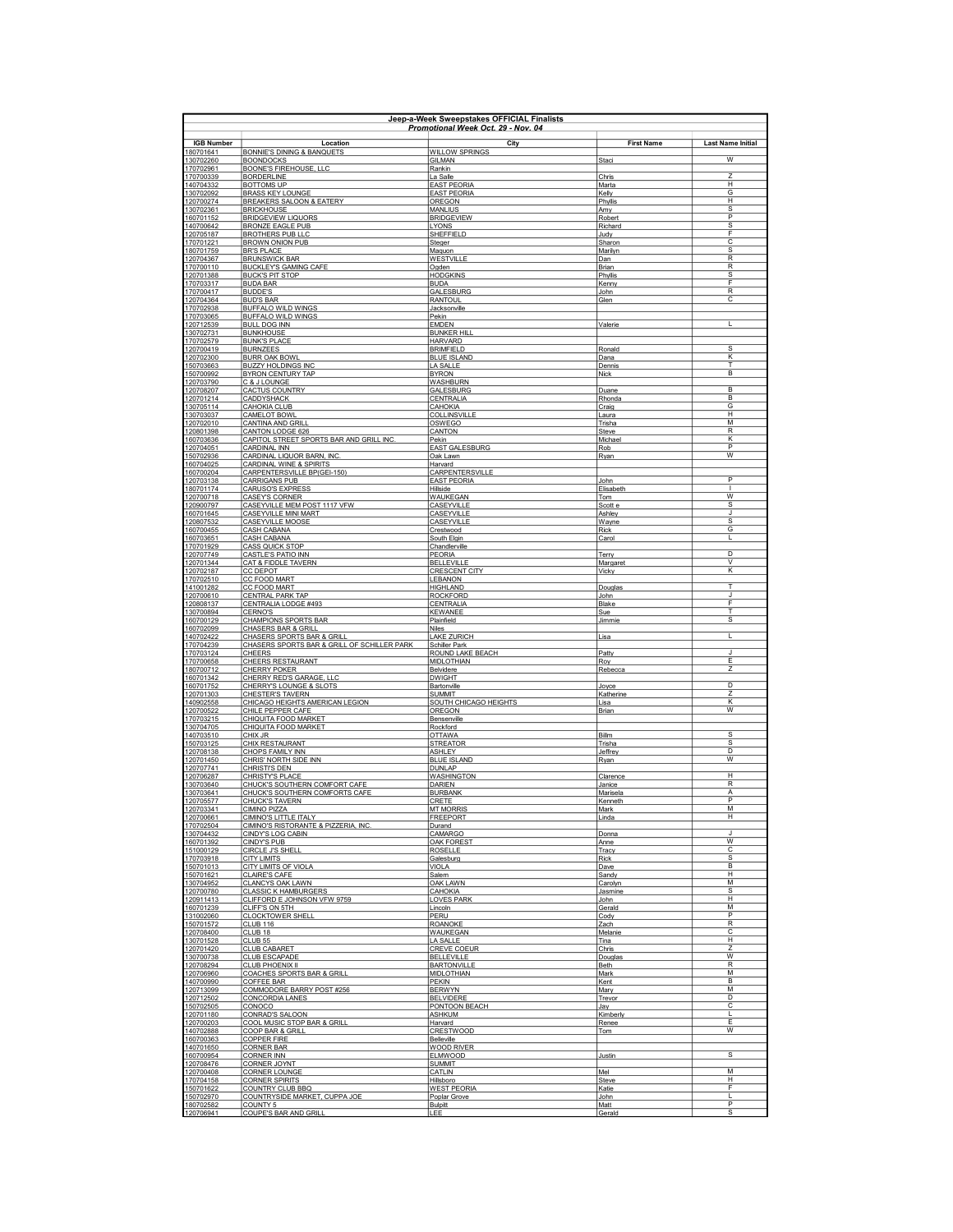| Jeen-a-Week Sweenstakes OFFICIAL Finalists<br>Promotional Week Oct. 29 - Nov. 04 |                                                                                      |                                            |                      |                                   |  |
|----------------------------------------------------------------------------------|--------------------------------------------------------------------------------------|--------------------------------------------|----------------------|-----------------------------------|--|
| <b>IGB Number</b>                                                                | Location                                                                             | City                                       | <b>First Name</b>    | <b>Last Name Initial</b>          |  |
| 180701641<br>130702260                                                           | BONNIE'S DINING & BANQUETS<br><b>BOONDOCKS</b>                                       | <b>WILLOW SPRINGS</b><br>GILMAN            | Staci                | W                                 |  |
| 170702961                                                                        | BOONE'S FIREHOUSE, LLC                                                               | Rankin                                     |                      |                                   |  |
| 170700339<br>140704332                                                           | <b>BORDERLINE</b><br><b>BOTTOMS UP</b>                                               | La Salle<br><b>EAST PEORIA</b>             | Chris<br>Marta       | $\overline{z}$<br>н               |  |
| 130702092<br>120700274                                                           | <b>BRASS KEY LOUNGE</b><br>BREAKERS SALOON & EATERY                                  | <b>EAST PEORIA</b><br>OREGON               | Kelly<br>Phyllis     | G<br>Н                            |  |
| 130702361                                                                        | <b>BRICKHOUSE</b>                                                                    | <b>MANLIUS</b>                             | Amy                  | -S<br>P                           |  |
| 160701152<br>140700642                                                           | <b>BRIDGEVIEW LIQUORS</b><br><b>BRONZE EAGLE PUB</b>                                 | <b>BRIDGEVIEW</b><br><b>LYONS</b>          | Robert<br>Richard    | s                                 |  |
| 120705187<br>170701221                                                           | <b>BROTHERS PUB LLC</b><br><b>BROWN ONION PUB</b>                                    | SHEFFIELD<br>Steger                        | Judv<br>Sharon       | F<br>$\overline{\text{c}}$        |  |
| 180701759                                                                        | <b>BR'S PLACE</b>                                                                    | Maquon                                     | Marilyn              | $\overline{s}$                    |  |
| 120704367<br>170700110                                                           | <b>BRUNSWICK BAR</b><br><b>BUCKLEY'S GAMING CAFE</b>                                 | WESTVILLE<br>Oaden                         | Dan<br>Brian         | $\overline{R}$<br>$\overline{R}$  |  |
| 120701388<br>170703317                                                           | <b>BUCK'S PIT STOP</b><br><b>BUDA BAR</b>                                            | <b>HODGKINS</b><br><b>BUDA</b>             | Phyllis<br>Kenny     | s<br>E                            |  |
| 170700417                                                                        | <b>BUDDE'S</b>                                                                       | GALESBURG                                  | John                 | $\mathsf{R}$                      |  |
| 120704364<br>170702938                                                           | <b>BUD'S BAR</b><br><b>BUFFALO WILD WINGS</b>                                        | RANTOUL<br>Jacksonville                    | Glen                 | C                                 |  |
| 170703065                                                                        | <b>BUFFALO WILD WINGS</b>                                                            | Pekin                                      |                      |                                   |  |
| 120712539<br>130702731                                                           | <b>BULL DOG INN</b><br><b>BUNKHOUSE</b>                                              | <b>EMDEN</b><br><b>BUNKER HILL</b>         | Valerie              | L                                 |  |
| 170702579<br>120700419                                                           | <b>BUNK'S PLACE</b><br><b>BURNZEES</b>                                               | <b>HARVARD</b><br><b>BRIMFIELD</b>         | Ronald               | $\overline{\mathbf{s}}$           |  |
| 120702300                                                                        | <b>BURR OAK BOWL</b>                                                                 | <b>BLUE ISLAND</b>                         | Dana                 | κ                                 |  |
| 150703663<br>150700992                                                           | <b>BUZZY HOLDINGS INC</b><br>BYRON CENTURY TAP                                       | LA SALLE<br><b>BYRON</b>                   | Dennis<br>Nick       | T<br>B                            |  |
| 120703790<br>120708207                                                           | C & J LOUNGE<br>CACTUS COUNTRY                                                       | <b>WASHBURN</b><br>GALESBURG               | Duane                | B                                 |  |
| 120701214                                                                        | CADDYSHACK                                                                           | CENTRALIA                                  | Rhonda               | B                                 |  |
| 130705114<br>130703037                                                           | CAHOKIA CLUB<br>CAMELOT BOWL                                                         | CAHOKIA<br><b>COLLINSVILLE</b>             | Craig<br>Laura       | G<br>H                            |  |
| 120702010                                                                        | <b>CANTINA AND GRILL</b>                                                             | OSWEGO                                     | Trisha               | M<br>R                            |  |
| 120801398<br>160703636                                                           | CANTON LODGE 626<br>CAPITOL STREET SPORTS BAR AND GRILL INC                          | CANTON<br>Pekin                            | Steve<br>Michael     | К                                 |  |
| 120704051<br>150702936                                                           | CARDINAL INN<br>CARDINAL LIQUOR BARN, INC                                            | <b>EAST GALESBURG</b><br>Oak Lawn          | Rob<br>Ryan          | $\overline{P}$<br>$\overline{W}$  |  |
| 160704025                                                                        | <b>CARDINAL WINE &amp; SPIRITS</b>                                                   | Harvard                                    |                      |                                   |  |
| 160700204<br>120703138                                                           | CARPENTERSVILLE BP(GEI-150)<br><b>CARRIGANS PUB</b>                                  | CARPENTERSVILLE<br><b>EAST PEORIA</b>      | John                 | P                                 |  |
| 180701174<br>120700718                                                           | <b>CARUSO'S EXPRESS</b><br>CASEY'S CORNER                                            | Hillside<br>WAUKEGAN                       | Elisabeth<br>Tom     | $\mathbf{I}$<br>W                 |  |
| 120900797                                                                        | CASEYVILLE MEM POST 1117 VFW                                                         | CASEYVILLE                                 | Scott e              | S                                 |  |
| 160701645<br>120807532                                                           | CASEYVILLE MINI MART<br>CASEYVILLE MOOSE                                             | CASEYVILLE<br>CASEYVILLE                   | Ashley<br>Wayne      | J<br>s                            |  |
| 160700455                                                                        | CASH CABANA                                                                          | Crestwood                                  | <b>Rick</b>          | G<br>L                            |  |
| 160703651<br>170701929                                                           | <b>CASH CABANA</b><br><b>CASS QUICK STOP</b>                                         | South Elgin<br>Chandlerville               | Carol                |                                   |  |
| 120707749<br>120701344                                                           | <b>CASTLE'S PATIO INN</b><br>CAT & FIDDLE TAVERN                                     | <b>PEORIA</b><br><b>BELLEVILLE</b>         | Terry<br>Margaret    | $\overline{\mathsf{D}}$<br>$\vee$ |  |
| 120702187                                                                        | <b>CC DEPOT</b>                                                                      | <b>CRESCENT CITY</b>                       | Vicky                | $\overline{\mathsf{K}}$           |  |
| 170702510<br>141001282                                                           | CC FOOD MART<br>CC FOOD MART                                                         | LEBANON<br><b>HIGHLAND</b>                 | Douglas              | T                                 |  |
| 120700610<br>120808137                                                           | CENTRAL PARK TAP<br>CENTRALIA LODGE #493                                             | <b>ROCKFORD</b><br>CENTRALIA               | John<br>Blake        | J<br>F                            |  |
| 130700894                                                                        | <b>CERNO'S</b>                                                                       | <b>KEWANEE</b>                             | Sue                  | T                                 |  |
| 160700129<br>160702099                                                           | <b>CHAMPIONS SPORTS BAR</b><br>CHASERS BAR & GRILL                                   | Plainfield<br>Niles                        | <b>Jimmie</b>        | s                                 |  |
| 140702422<br>170704239                                                           | <b>CHASERS SPORTS BAR &amp; GRILL</b><br>CHASERS SPORTS BAR & GRILL OF SCHILLER PARK | <b>LAKE ZURICH</b><br><b>Schiller Park</b> | Lisa                 | L                                 |  |
| 170703124                                                                        | <b>CHEERS</b>                                                                        | ROUND LAKE BEACH                           | Patty                | J.                                |  |
| 170700658<br>180700712                                                           | CHEERS RESTAURANT<br><b>CHERRY POKER</b>                                             | <b>MIDLOTHIAN</b><br>Belvidere             | Rov<br>Rebecca       | Ε<br>7                            |  |
| 160701342<br>160701752                                                           | CHERRY RED'S GARAGE, LLC<br>CHERRY'S LOUNGE & SLOTS                                  | <b>DWIGHT</b><br>Bartonville               | Joyce                | D                                 |  |
| 120701303                                                                        | CHESTER'S TAVERN                                                                     | <b>SUMMIT</b>                              | Katherine            | Z                                 |  |
| 140902558<br>120700522                                                           | CHICAGO HEIGHTS AMERICAN LEGION<br>CHILE PEPPER CAFE                                 | SOUTH CHICAGO HEIGHTS<br>OREGON            | Lisa<br>Brian        | К<br>W                            |  |
| 170703215                                                                        | CHIQUITA FOOD MARKET                                                                 | Bensenville                                |                      |                                   |  |
| 130704705<br>140703510                                                           | CHIQUITA FOOD MARKET<br>CHIX JR                                                      | Rockford<br><b>OTTAWA</b>                  | <b>Billm</b>         | s                                 |  |
| 150703125<br>120708138                                                           | <b>CHIX RESTAURANT</b><br>CHOPS FAMILY INN                                           | <u>STREATOR</u><br><b>ASHLEY</b>           | Trisha<br>Jeffrey    | s<br>D                            |  |
| 120701450                                                                        | CHRIS' NORTH SIDE INN                                                                | <b>BLUE ISLAND</b>                         | Ryan                 | W                                 |  |
| 120707741<br>120706287                                                           | CHRISTI'S DEN<br>CHRISTY'S PLACE                                                     | <b>DUNLAP</b><br>WASHINGTON                | Clarence             | $\overline{H}$                    |  |
| 130703640<br>130703641                                                           | CHUCK'S SOUTHERN COMFORT CAFE<br>CHUCK'S SOUTHERN COMFORTS CAFE                      | DARIEN<br><b>BURBANK</b>                   | Janice<br>Marisela   | R<br>A                            |  |
| 120705577                                                                        | CHUCK'S TAVERN                                                                       | CRETE                                      | Kenneth              | P                                 |  |
| 120703341<br>120700661                                                           | <b>CIMINO PIZZA</b><br>CIMINO'S LITTLE ITALY                                         | <b>MT MORRIS</b><br><b>FREEPORT</b>        | Mark<br>Linda        | M<br>Н                            |  |
| 170702504<br>130704432                                                           | CIMINO'S RISTORANTE & PIZZERIA, INC.<br><b>CINDY'S LOG CABIN</b>                     | Durand<br><b>CAMARGO</b>                   | Donna                | J                                 |  |
| 160701392                                                                        | <b>CINDY'S PUB</b>                                                                   | <b>OAK FOREST</b>                          | Anne                 | w                                 |  |
| 151000129<br>170703918                                                           | <b>CIRCLE J'S SHELL</b><br><b>CITY LIMITS</b>                                        | <b>ROSELLE</b><br>Galesburg                | Tracy<br><b>Rick</b> | C<br>$\overline{s}$               |  |
| 150701013<br>150701621                                                           | CITY LIMITS OF VIOLA<br><b>CLAIRE'S CAFE</b>                                         | <b>VIOLA</b><br>Salem                      | Dave<br>Sandy        | $\overline{B}$<br>н               |  |
| 130704952                                                                        | CLANCYS OAK LAWN                                                                     | <b>OAK LAWN</b>                            | Carolyn              | M                                 |  |
| 120700780<br>120911413                                                           | <b>CLASSIC K HAMBURGERS</b><br>CLIFFORD E JOHNSON VFW 9759                           | CAHOKIA<br><b>LOVES PARK</b>               | Jasmine<br>John      | s<br>н                            |  |
| 160701239<br>131002060                                                           | CLIFF'S ON 5TH<br><b>CLOCKTOWER SHELL</b>                                            | Lincoln<br>PERU                            | Gerald<br>Codv       | м<br>P                            |  |
| 150701572                                                                        | CLUB 116                                                                             | <b>ROANOKE</b>                             | Zach                 | R                                 |  |
| 120708400<br>130701528                                                           | CLUB <sub>18</sub><br>CLUB <sub>55</sub>                                             | WAUKEGAN<br>LA SALLE                       | Melanie<br>Tina      | C<br>H                            |  |
| 120701420                                                                        | <b>CLUB CABARET</b>                                                                  | <b>CREVE COEUR</b>                         | Chris                | Z                                 |  |
| 130700738<br>120708294                                                           | <b>CLUB ESCAPADE</b><br><b>CLUB PHOENIX II</b>                                       | <b>BELLEVILLE</b><br><b>BARTONVILLE</b>    | Douglas<br>Beth      | W<br>$\overline{R}$               |  |
| 120706960<br>140700990                                                           | COACHES SPORTS BAR & GRILL<br>COFFEE BAR                                             | <b>MIDLOTHIAN</b><br>PEKIN                 | Mark<br>Kent         | M<br>B                            |  |
| 120713099                                                                        | COMMODORE BARRY POST #256                                                            | <b>BERWYN</b>                              | Mary                 | М                                 |  |
| 120712502<br>150702505                                                           | <b>CONCORDIA LANES</b><br>CONOCO                                                     | <b>BELVIDERE</b><br>PONTOON BEACH          | Trevor<br>Jay        | D<br>C                            |  |
| 120701180<br>120700203                                                           | CONRAD'S SALOON<br>COOL MUSIC STOP BAR & GRILL                                       | <b>ASHKUM</b><br>Harvard                   | Kimberly<br>Renee    | -1<br>E                           |  |
| 140702888                                                                        | COOP BAR & GRILL                                                                     | <b>CRESTWOOD</b>                           | Tom                  | w                                 |  |
| 160700363<br>140701650                                                           | <b>COPPER FIRE</b><br><b>CORNER BAR</b>                                              | Belleville<br><b>WOOD RIVER</b>            |                      |                                   |  |
| 160700954                                                                        | <b>CORNER INN</b>                                                                    | ELMWOOD                                    | Justin               | s                                 |  |
| 120708476<br>120700408                                                           | <b>CORNER JOYNT</b><br>CORNER LOUNGE                                                 | <b>SUMMIT</b><br>CATLIN                    | Mel                  | M                                 |  |
| 170704158<br>150701622                                                           | <b>CORNER SPIRITS</b><br>COUNTRY CLUB BBQ                                            | Hillsboro<br><b>WEST PEORIA</b>            | Steve<br>Katie       | н<br>F                            |  |
| 150702970<br>180702582                                                           | COUNTRYSIDE MARKET, CUPPA JOE<br>COUNTY 5                                            | Poplar Grove                               | John<br>Matt         | L.<br>P                           |  |
| 120706941                                                                        | COUPE'S BAR AND GRILL                                                                | <b>Bulpitt</b><br>LEE                      | Gerald               | S                                 |  |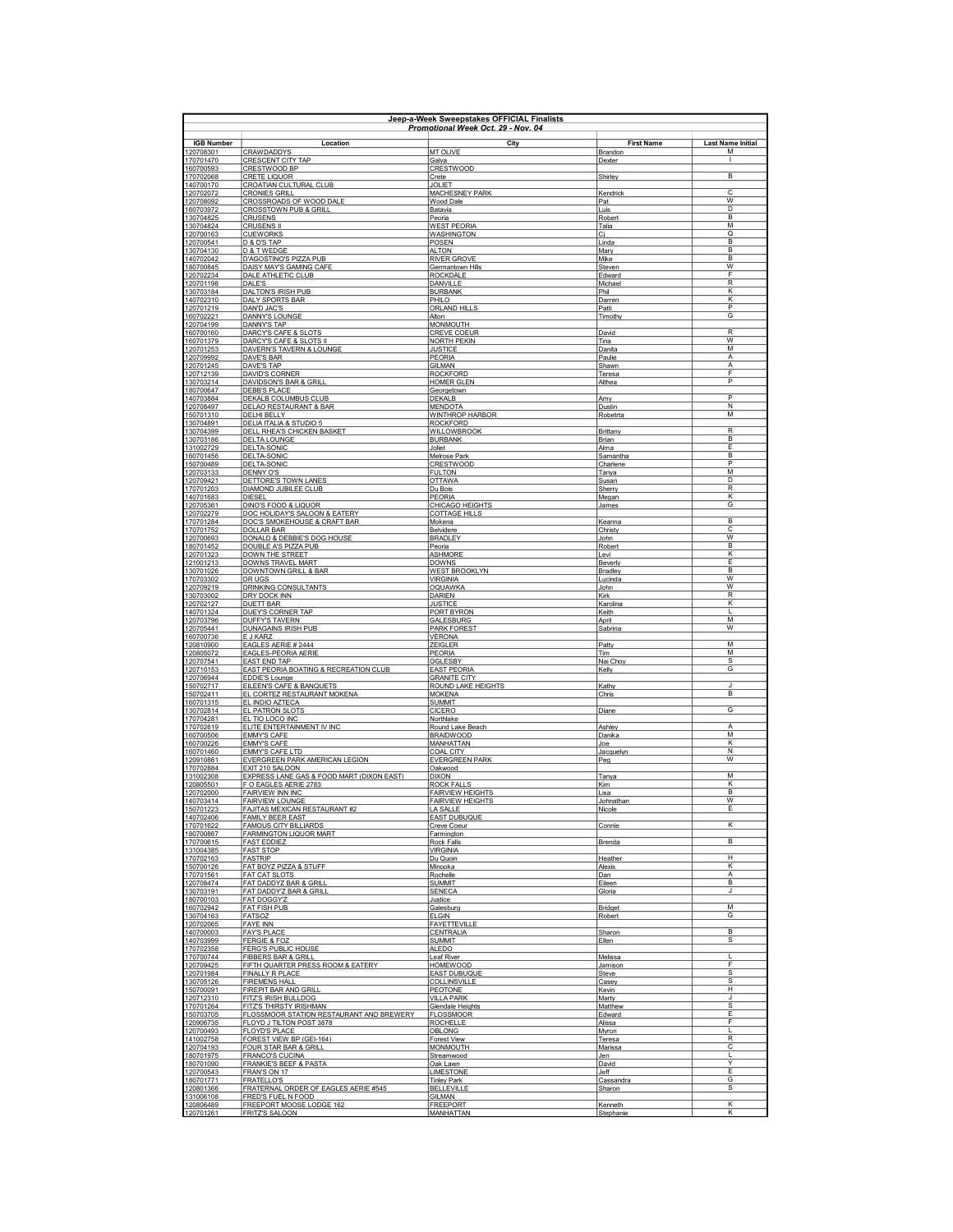| Jeep-a-Week Sweepstakes OFFICIAL Finalists<br>Promotional Week Oct. 29 - Nov. 04 |                                                                     |                                                    |                          |                          |
|----------------------------------------------------------------------------------|---------------------------------------------------------------------|----------------------------------------------------|--------------------------|--------------------------|
| <b>IGB Number</b>                                                                | Location                                                            | City                                               | <b>First Name</b>        | <b>Last Name Initial</b> |
| 120708301                                                                        | <b>CRAWDADDYS</b>                                                   | MT OLIVE                                           | Brandon                  | M                        |
| 170701470<br>160700593                                                           | CRESCENT CITY TAP<br>CRESTWOOD BP                                   | Galva<br><b>CRESTWOOD</b>                          | Dexter                   | $\mathbf{I}$             |
| 170702068<br>140700170                                                           | <b>CRETE LIQUOR</b><br>CROATIAN CULTURAL CLUB                       | Crete<br>JOLIET                                    | Shirley                  | В                        |
| 120702072                                                                        | <b>CRONIES GRILL</b>                                                | MACHESNEY PARK                                     | Kendrick                 | C                        |
| 120708092<br>160703972                                                           | CROSSROADS OF WOOD DALE<br><b>CROSSTOWN PUB &amp; GRILL</b>         | Wood Dale<br>Batavia                               | Pat<br>Luis              | W<br>D                   |
| 130704825                                                                        | <b>CRUSENS</b>                                                      | Peoria                                             | Robert                   | в                        |
| 130704824<br>120700163                                                           | <b>CRUSENS II</b><br><b>CUEWORKS</b>                                | <b>WEST PEORIA</b><br><b>WASHINGTON</b>            | Talia<br><u>Ci</u>       | M<br>$\overline{Q}$      |
| 120700541                                                                        | D & D'S TAP                                                         | POSEN<br><b>ALTON</b>                              | Linda                    | B<br>B                   |
| 130704130<br>140702042                                                           | D & T WEDGE<br>D'AGOSTINO'S PIZZA PUB                               | <b>RIVER GROVE</b>                                 | Mary<br>Mike             | <sub>B</sub>             |
| 180700845<br>120702234                                                           | DAISY MAY'S GAMING CAFE<br>DALE ATHLETIC CLUB                       | Germantown Hills<br><b>ROCKDALE</b>                | Steven<br>Edward         | W<br>F                   |
| 120701198<br>130703184                                                           | DALE'S<br><b>DALTON'S IRISH PUB</b>                                 | DANVILLE                                           | Michael<br>Phil          | R<br>Κ                   |
| 140702310                                                                        | <b>DALY SPORTS BAR</b>                                              | <b>BURBANK</b><br>PHII O                           | Darren                   | K                        |
| 120701219<br>160702221                                                           | DAN'D JAC'S<br>DANNY'S LOUNGE                                       | <b>ORLAND HILLS</b><br>Alton                       | Patti<br>Timothy         | P<br>G                   |
| 120704199                                                                        | DANNY'S TAP                                                         | <b>MONMOUTH</b>                                    |                          |                          |
| 160700160<br>160701379                                                           | DARCY'S CAFE & SLOTS<br>DARCY'S CAFE & SLOTS II                     | <b>CREVE COEUR</b><br><b>NORTH PEKIN</b>           | David<br>Tina            | R<br>w                   |
| 120701253<br>120709992                                                           | DAVERN'S TAVERN & LOUNGE<br>DAVE'S BAR                              | <b>JUSTICE</b><br>PEORIA                           | Danita<br>Paulie         | M<br>A                   |
| 120701245                                                                        | DAVE'S TAP                                                          | <b>GILMAN</b>                                      | Shawn                    | Α                        |
| 120712139<br>130703214                                                           | DAVID'S CORNER<br>DAVIDSON'S BAR & GRILL                            | <b>ROCKFORD</b><br><b>HOMER GLEN</b>               | Teresa<br>Althea         | F<br>P                   |
| 180700647<br>140703884                                                           | DEBB'S PLACE<br>DEKALB COLUMBUS CLUB                                | Georgetown<br><b>DEKALB</b>                        | Amy                      | P                        |
| 120708497                                                                        | DELAO RESTAURANT & BAR                                              | <b>MENDOTA</b>                                     | Dustin                   | N                        |
| 150701310<br>130704891                                                           | <b>DELHI BELLY</b><br>DELIA ITALIA & STUDIO 5                       | <b>WINTHROP HARBOR</b><br><b>ROCKFORD</b>          | Robetrta                 | М                        |
| 130704399                                                                        | DELL RHEA'S CHICKEN BASKET                                          | WILLOWBROOK                                        | Brittany                 | $\overline{R}$           |
| 130703186<br>131002729                                                           | DELTA LOUNGE<br>DELTA-SONIC                                         | <b>BURBANK</b><br>Joliet                           | Brian<br>Alma            | в<br>F                   |
| 160701456<br>150700489                                                           | DELTA-SONIC<br>DELTA-SONIC                                          | Melrose Park<br><b>CRESTWOOD</b>                   | Samantha<br>Charlene     | B<br>P                   |
| 120703133                                                                        | <b>DENNY O'S</b>                                                    | <b>FULTON</b>                                      | Tanya                    | M                        |
| 120709421<br>170701203                                                           | DETTORE'S TOWN LANES<br>DIAMOND JUBILEE CLUB                        | <b>OTTAWA</b><br>Du Bois                           | Susan<br>Sherry          | D<br>R                   |
| 140701683<br>120705361                                                           | <b>DIESEL</b><br>DINO'S FOOD & LIQUOR                               | PEORIA<br>CHICAGO HEIGHTS                          | Megan<br>James           | κ<br>G                   |
| 120702279                                                                        | DOC HOLIDAY'S SALOON & EATERY                                       | <b>COTTAGE HILLS</b>                               |                          |                          |
| 170701284<br>170701752                                                           | DOC'S SMOKEHOUSE & CRAFT BAR<br><b>DOLLAR BAR</b>                   | Mokena<br>Belvidere                                | Keanna<br>Christy        | B<br>C                   |
| 120700693<br>180701452                                                           | DONALD & DEBBIE'S DOG HOUSE<br>DOUBLE A'S PIZZA PUB                 | <b>BRADLEY</b>                                     | John                     | w<br>B                   |
| 120701323                                                                        | DOWN THE STREET                                                     | Peoria<br><b>ASHMORE</b>                           | Robert<br>Levi           | $\overline{\mathsf{K}}$  |
| 121001213<br>130701026                                                           | DOWNS TRAVEL MART<br>DOWNTOWN GRILL & BAR                           | <b>DOWNS</b><br><b>WEST BROOKLYN</b>               | Beverly<br>Bradley       | E<br><sub>B</sub>        |
| 170703302                                                                        | DR UGS                                                              | <b>VIRGINIA</b>                                    | Lucinda                  | W                        |
| 120709219<br>130703002                                                           | DRINKING CONSULTANTS<br><b>DRY DOCK INN</b>                         | OQUAWKA<br><b>DARIEN</b>                           | John<br>Kirk             | W<br>$\sf R$             |
| 120702127<br>140701324                                                           | DUETT BAR<br>DUEY'S CORNER TAP                                      | <b>JUSTICE</b><br>PORT BYRON                       | Karolina<br>Keith        | κ<br>Г                   |
| 120703796                                                                        | <b>DUFFY'S TAVERN</b>                                               | GALESBURG                                          | April                    | M                        |
| 120705441<br>160700736                                                           | <b>DUNAGAINS IRISH PUB</b><br>E J KARZ                              | <b>PARK FOREST</b><br><b>VERONA</b>                | Sabrina                  | W                        |
| 120810900<br>120805072                                                           | EAGLES AERIE # 2444<br><b>EAGLES-PEORIA AERIE</b>                   | <b>ZEIGLER</b><br>PEORIA                           | Patty<br>Tim             | M<br>М                   |
| 120707541                                                                        | <b>EAST END TAP</b>                                                 | OGLESBY                                            | Nai Choy                 | $\overline{s}$           |
| 120710153<br>120706944                                                           | EAST PEORIA BOATING & RECREATION CLUB<br>EDDIE'S Lounge             | <b>EAST PEORIA</b><br><b>GRANITE CITY</b>          | Kelly                    | G                        |
| 150702717<br>150702411                                                           | EILEEN'S CAFE & BANQUETS<br>EL CORTEZ RESTAURANT MOKENA             | ROUND LAKE HEIGHTS<br><b>MOKENA</b>                | Kathy<br>Chris           | J<br>В                   |
| 160701315                                                                        | EL INDIO AZTECA                                                     | <b>SUMMIT</b>                                      |                          |                          |
| 130702814<br>170704281                                                           | <b>EL PATRON SLOTS</b><br>EL TIO LOCO INC                           | <b>CICERO</b><br>Northlake                         | Diane                    | G                        |
| 170702619<br>160700506                                                           | ELITE ENTERTAINMENT IV INC<br><b>EMMY'S CAFE</b>                    | Round Lake Beach<br><b>BRAIDWOOD</b>               | Ashley<br>Danika         | A<br>M                   |
| 160700226                                                                        | <b>EMMY'S CAFE</b>                                                  | MANHATTAN                                          | Joe                      | ĸ                        |
| 160701460<br>120910861                                                           | EMMY'S CAFE LTD<br>EVERGREEN PARK AMERICAN LEGION                   | COAL CITY<br><b>EVERGREEN PARK</b>                 | Jacquelyn<br>Peg         | N<br>W                   |
| 170702884<br>131002308                                                           | EXIT 210 SALOON<br>EXPRESS LANE GAS & FOOD MART (DIXON EAST)        | Oakwood<br><b>DIXON</b>                            | Tanya                    | м                        |
| 120805501                                                                        | F O EAGLES AERIE 2783                                               | <b>ROCK FALLS</b>                                  | Kim                      | κ                        |
| 120702000<br>140703414                                                           | FAIRVIEW INN INC<br><b>FAIRVIEW LOUNGE</b>                          | <b>FAIRVIEW HEIGHTS</b><br><b>FAIRVIEW HEIGHTS</b> | Lisa<br>Johnathan        | B<br>W                   |
| 150701223<br>140702406                                                           | FAJITAS MEXICAN RESTAURANT #2<br><b>FAMILY BEER EAST</b>            | LA SALLE<br><b>EAST DUBUQUE</b>                    | Nicole                   | Ε                        |
| 170701622                                                                        | <b>FAMOUS CITY BILLIARDS</b>                                        | <b>Creve Coeur</b>                                 | Connie                   | κ                        |
| 180700867<br>170700615                                                           | <b>FARMINGTON LIQUOR MART</b><br><b>FAST EDDIEZ</b>                 | Farmington<br>Rock Falls                           | Brenda                   | B                        |
| 131004385<br>170702163                                                           | <b>FAST STOP</b><br><b>FASTRIP</b>                                  | <b>VIRGINIA</b><br>Du Quoin                        | Heather                  | $\overline{H}$           |
| 150700126                                                                        | FAT BOYZ PIZZA & STUFF                                              | Minooka                                            | Alexis                   | κ                        |
| 170701561<br>120708474                                                           | <b>FAT CAT SLOTS</b><br>FAT DADDYZ BAR & GRILI                      | Rochelle<br><b>SUMMIT</b>                          | Dan<br>Eileen            | А<br>B                   |
| 130703191<br>180700103                                                           | FAT DADDY'Z BAR & GRILL<br>FAT DOGGY'Z                              | <b>SENECA</b>                                      | Gloria                   | J                        |
| 160702942                                                                        | <b>FAT FISH PUB</b>                                                 | Justice<br>Galesburg                               | Bridget                  | М                        |
| 130704163<br>120702065                                                           | FATSOZ<br><b>FAYE INN</b>                                           | FI GIN<br><b>FAYETTEVILLE</b>                      | Robert                   | G                        |
| 140700003                                                                        | <b>FAY'S PLACE</b><br>FERGIE & FOZ                                  | <b>CENTRALIA</b><br>SUMMIT                         | Sharon                   | <sub>B</sub><br>s        |
| 140703999<br>170702358                                                           | <b>FERG'S PUBLIC HOUSE</b>                                          | <b>ALEDO</b>                                       | Ellen                    |                          |
| 170700744<br>120709425                                                           | <b>FIBBERS BAR &amp; GRILL</b><br>FIFTH QUARTER PRESS ROOM & EATERY | <b>Leaf River</b><br><b>HOMEWOOD</b>               | Melissa<br>Jamison       | F                        |
| 120701984                                                                        | FINALLY R PLACE                                                     | <b>EAST DUBUQUE</b>                                | Steve                    | $\overline{s}$<br>s      |
| 130705126<br>150700091                                                           | <b>FIREMENS HALL</b><br>FIREPIT BAR AND GRILL                       | COLLINSVILLE<br>PEOTONE                            | Casey<br>Kevin           | н                        |
| 120712310<br>170701264                                                           | FITZ'S IRISH BULLDOG<br>FITZ'S THIRSTY IRISHMAN                     | <b>VILLA PARK</b><br><b>Glendale Heights</b>       | Marty<br>Matthew         | J<br>s                   |
| 150703705                                                                        | FLOSSMOOR STATION RESTAURANT AND BREWERY                            | <b>FLOSSMOOR</b>                                   | Edward                   | F                        |
| 120906735<br>120700493                                                           | FLOYD J TILTON POST 3878<br><b>FLOYD'S PLACE</b>                    | <b>ROCHELLE</b><br><b>OBLONG</b>                   | Alissa<br>Myron          | F<br>L                   |
| 141002758<br>120704193                                                           | FOREST VIEW BP (GEI-164)<br>FOUR STAR BAR & GRILL                   | <b>Forest View</b><br><b>MONMOUTH</b>              | <b>Teresa</b><br>Marissa | R<br>с                   |
| 180701975                                                                        | <b>FRANCO'S CUCINA</b>                                              | <u>Streamwood</u>                                  | <u>Jen</u>               | L                        |
| 180701090<br>120700543                                                           | FRANKIE'S BEEF & PASTA<br>FRAN'S ON 17                              | Oak Lawn<br>LIMESTONE                              | David<br>Jeff            | ٧<br>Ε                   |
| 180701771<br>120801366                                                           | <b>FRATELLO'S</b><br>FRATERNAL ORDER OF EAGLES AERIE #545           | <b>Tinley Park</b><br><b>BELLEVILLE</b>            | Cassandra<br>Sharon      | G<br>s                   |
| 131006108                                                                        | FRED'S FUEL N FOOD                                                  | GILMAN                                             |                          |                          |
| 120806489<br>120701261                                                           | FREEPORT MOOSE LODGE 162<br><b>FRITZ'S SALOON</b>                   | <b>FREEPORT</b><br>MANHATTAN                       | Kenneth<br>Stephanie     | ĸ<br>ĸ                   |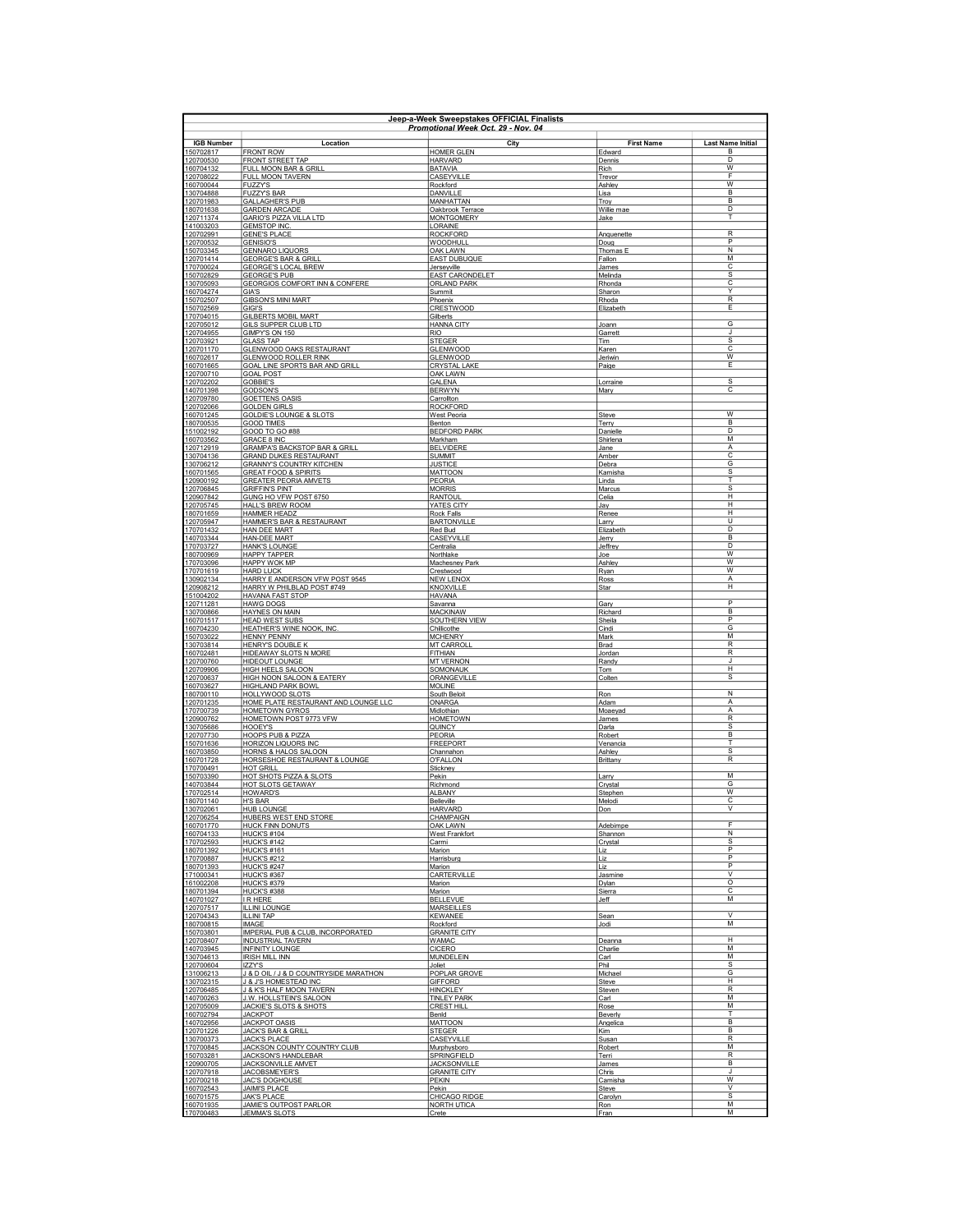| Jeep-a-Week Sweepstakes OFFICIAL Finalists<br>Promotional Week Oct. 29 - Nov. 04 |                                                                   |                                          |                             |                               |
|----------------------------------------------------------------------------------|-------------------------------------------------------------------|------------------------------------------|-----------------------------|-------------------------------|
| <b>IGB Number</b><br>150702817                                                   | Location<br><b>FRONT ROW</b>                                      | City<br><b>HOMER GLEN</b>                | <b>First Name</b><br>Edward | <b>Last Name Initial</b><br>B |
| 120700530                                                                        | FRONT STREET TAP                                                  | <b>HARVARD</b>                           | Dennis                      | D                             |
| 160704132<br>120708022                                                           | FULL MOON BAR & GRILL<br>FULL MOON TAVERN                         | <b>BATAVIA</b><br>CASEYVILLE             | Rich<br>Trevor              | w<br>F                        |
| 160700044                                                                        | <b>FUZZY'S</b>                                                    | Rockford                                 | Ashley                      | W                             |
| 130704888<br>120701983                                                           | <b>FUZZY'S BAR</b><br><b>GALLAGHER'S PUB</b>                      | DANVILLE<br>MANHATTAN                    | Lisa<br>Trov                | B <sub>1</sub><br>B           |
| 180701638                                                                        | <b>GARDEN ARCADE</b>                                              | Oakbrook Terrace                         | Willie mae                  | D                             |
| 120711374<br>141003203                                                           | <b>GARIO'S PIZZA VILLA LTD</b><br><b>GEMSTOP INC</b>              | <b>MONTGOMERY</b><br>LORAINE             | Jake                        | T                             |
| 120702991                                                                        | <b>GENE'S PLACE</b>                                               | <b>ROCKFORD</b>                          | Anquenette                  | $\overline{R}$<br>P           |
| 120700532<br>150703345                                                           | <b>GENISIO'S</b><br><b>GENNARO LIQUORS</b>                        | WOODHULL<br><b>OAK LAWN</b>              | Doug<br>Thomas E            | $\overline{N}$                |
| 120701414                                                                        | <b>GEORGE'S BAR &amp; GRILL</b>                                   | <b>EAST DUBUQUE</b>                      | Fallon                      | M                             |
| 170700024<br>150702829                                                           | <b>GEORGE'S LOCAL BREW</b><br><b>GEORGE'S PUB</b>                 | <u>Jerseyville</u><br>EAST CARONDELET    | James<br>Melinda            | $\overline{c}$<br>s           |
| 130705093                                                                        | <b>GEORGIOS COMFORT INN &amp; CONFERE</b>                         | <b>ORLAND PARK</b>                       | Rhonda                      | C                             |
| 160704274<br>150702507                                                           | GIA'S<br><b>GIBSON'S MINI MART</b>                                | Summit<br>Phoenix                        | Sharon<br>Rhoda             | Y<br>R                        |
| 150702569                                                                        | <b>GIGI'S</b>                                                     | <b>CRESTWOOD</b>                         | Elizabeth                   | E                             |
| 170704015<br>120705012                                                           | <b>GILBERTS MOBIL MART</b><br><b>GILS SUPPER CLUB LTD</b>         | Gilberts<br><b>HANNA CITY</b>            | Joann                       | G                             |
| 120704955                                                                        | GIMPY'S ON 150                                                    | <b>RIO</b>                               | Garrett                     | J.<br>s                       |
| 120703921<br>120701170                                                           | <b>GLASS TAP</b><br><b>GLENWOOD OAKS RESTAURANT</b>               | <b>STEGER</b><br><b>GLENWOOD</b>         | Tim<br>Karen                | $\overline{\text{c}}$         |
| 160702617                                                                        | GLENWOOD ROLLER RINK                                              | <b>GLENWOOD</b>                          | Jeriwin                     | W<br>Ε                        |
| 160701665<br>120700710                                                           | GOAL LINE SPORTS BAR AND GRILL<br><b>GOAL POST</b>                | <b>CRYSTAL LAKE</b><br>OAK LAWN          | Paige                       |                               |
| 120702202<br>140701398                                                           | GOBBIE'S<br><b>GODSON'S</b>                                       | <b>GALENA</b><br><b>BERWYN</b>           | Lorraine<br>Mary            | S<br>с                        |
| 120709780                                                                        | <b>GOETTENS OASIS</b>                                             | Carrollton                               |                             |                               |
| 120702066<br>160701245                                                           | <b>GOLDEN GIRLS</b>                                               | <b>ROCKFORD</b>                          |                             | W                             |
| 180700535                                                                        | <b>GOLDIE'S LOUNGE &amp; SLOTS</b><br><b>GOOD TIMES</b>           | <b>West Peoria</b><br>Benton             | Steve<br>Terry              | B                             |
| 151002192                                                                        | GOOD TO GO #88<br><b>GRACE 8 INC</b>                              | <b>BEDFORD PARK</b>                      | Danielle                    | D<br>M                        |
| 160703562<br>120712919                                                           | <b>GRAMPA'S BACKSTOP BAR &amp; GRILL</b>                          | Markham<br><b>BELVIDERE</b>              | Shirlena<br>Jane            | Α                             |
| 130704136                                                                        | <b>GRAND DUKES RESTAURANT</b><br><b>GRANNY'S COUNTRY KITCHEN</b>  | <b>SUMMIT</b>                            | Amber                       | $\overline{\mathbf{c}}$<br>G  |
| 130706212<br>160701565                                                           | <b>GREAT FOOD &amp; SPIRITS</b>                                   | <b>JUSTICE</b><br><b>MATTOON</b>         | Debra<br>Kamisha            | $\overline{s}$                |
| 120900192                                                                        | <b>GREATER PEORIA AMVETS</b><br><b>GRIFFIN'S PINT</b>             | PEORIA<br><b>MORRIS</b>                  | Linda<br>Marcus             | T<br>S                        |
| 120706845<br>120907842                                                           | GUNG HO VFW POST 6750                                             | <b>RANTOUL</b>                           | Celia                       | H                             |
| 120705745<br>180701659                                                           | HALL'S BREW ROOM<br><b>HAMMER HEADZ</b>                           | <b>YATES CITY</b><br>Rock Falls          | Jay<br>Renee                | H<br>H                        |
| 120705947                                                                        | HAMMER'S BAR & RESTAURANT                                         | <b>BARTONVILLE</b>                       | Larry                       | $\cup$                        |
| 170701432                                                                        | HAN DEE MART                                                      | Red Bud                                  | Elizabeth                   | D<br>$\overline{B}$           |
| 140703344<br>170703727                                                           | <b>HAN-DEE MART</b><br><b>HANK'S LOUNGE</b>                       | CASEYVILLE<br>Centralia                  | Jerry<br>Jeffrey            | D                             |
| 180700969<br>170703096                                                           | <b>HAPPY TAPPER</b><br><b>HAPPY WOK MP</b>                        | Northlake<br>Machesney Park              | Joe<br>Ashley               | $\overline{\mathsf{w}}$<br>w  |
| 170701619                                                                        | <b>HARD LUCK</b>                                                  | Crestwood                                | Ryan                        | $\overline{\mathsf{w}}$       |
| 130902134<br>120908212                                                           | HARRY E ANDERSON VFW POST 9545<br>HARRY W PHILBLAD POST #749      | <b>NEW LENOX</b><br>KNOXVILLE            | Ross<br>Star                | Α<br>Н                        |
| 151004202                                                                        | HAVANA FAST STOP                                                  | <b>HAVANA</b>                            |                             |                               |
| 120711281<br>130700866                                                           | <b>HAWG DOGS</b><br>HAYNES ON MAIN                                | Savanna<br><b>MACKINAW</b>               | Gary<br>Richard             | P<br>B                        |
| 160701517                                                                        | <b>HEAD WEST SUBS</b>                                             | <b>SOUTHERN VIEW</b>                     | Sheila                      | P                             |
| 160704230<br>150703022                                                           | HEATHER'S WINE NOOK, INC<br><b>HENNY PENNY</b>                    | Chillicothe<br><b>MCHENRY</b>            | Cindi<br>Mark               | G<br>M                        |
| 130703814                                                                        | <b>HENRY'S DOUBLE K</b>                                           | <b>MT CARROLI</b>                        | Brad                        | $\overline{R}$                |
| 160702481<br>120700760                                                           | <b>HIDEAWAY SLOTS N MORE</b><br><b>HIDEOUT LOUNGE</b>             | FITHIAN<br><b>MT VERNON</b>              | Jordan<br>Randy             | R<br>J                        |
| 120709906                                                                        | <b>HIGH HEELS SALOON</b>                                          | SOMONAUK                                 | Tom                         | н                             |
| 120700637<br>160703627                                                           | <b>HIGH NOON SALOON &amp; EATERY</b><br><b>HIGHLAND PARK BOWL</b> | ORANGEVILLE<br><b>MOLINE</b>             | Colten                      | $\overline{s}$                |
| 180700110                                                                        | HOLLYWOOD SLOTS                                                   | South Beloit                             | Ron                         | N                             |
| 120701235<br>170700739                                                           | HOME PLATE RESTAURANT AND LOUNGE LLC<br><b>HOMETOWN GYROS</b>     | ONARGA<br>Midlothian                     | Adam<br>Moaeyad             | $\overline{A}$<br>A           |
| 120900762                                                                        | HOMETOWN POST 9773 VFW                                            | <b>HOMETOWN</b>                          | James                       | $\mathsf{R}$                  |
| 130705686<br>120707730                                                           | <b>HOOEY'S</b><br><b>HOOPS PUB &amp; PIZZA</b>                    | QUINCY<br>PFORIA                         | Darla<br>Robert             | S<br>B                        |
| 150701636                                                                        | <b>HORIZON LIQUORS INC</b>                                        | <b>FREEPORT</b>                          | Venancia                    | T                             |
| 160703850<br>160701728                                                           | HORNS & HALOS SALOON<br>HORSESHOE RESTAURANT & LOUNGE             | Channahon<br>O'FALLON                    | Ashley<br>Brittany          | s<br>$\overline{R}$           |
| 170700491                                                                        | <b>HOT GRILL</b>                                                  | Stickney                                 |                             |                               |
| 150703390<br>140703844                                                           | HOT SHOTS PIZZA & SLOTS<br>HOT SLOTS GETAWAY                      | Pekin<br>Richmond                        | Larry<br>Crystal            | M<br>G                        |
| 170702514                                                                        | <b>HOWARD'S</b>                                                   | <b>ALBANY</b>                            | Stephen                     | W                             |
| 180701140<br>130702061                                                           | <b>H'S BAR</b><br>HUB LOUNGE                                      | Belleville<br>HARVARD                    | Melodi<br>Don               | C                             |
| 120706254                                                                        | HUBERS WEST END STORE                                             | CHAMPAIGN                                |                             | E                             |
| 160701770<br>160704133                                                           | <b>HUCK FINN DONUTS</b><br><b>HUCK'S #104</b>                     | <b>OAK LAWN</b><br><b>West Frankfort</b> | Adebimpe<br>Shannon         | N                             |
| 170702593                                                                        | HUCK'S #142                                                       | Carmi                                    | Crystal                     | s<br>P                        |
| 180701392<br>170700887                                                           | <b>HUCK'S #161</b><br><b>HUCK'S #212</b>                          | Marion<br>Harrisburg                     | Liz<br>Liz                  | P                             |
| 180701393                                                                        | <b>HUCK'S #247</b>                                                | Marion                                   | Liz                         | P<br>$\vee$                   |
| 171000341<br>161002208                                                           | <b>HUCK'S #367</b><br><b>HUCK'S #379</b>                          | CARTERVILLE<br>Marion                    | Jasmine<br>Dylan            | $\overline{\circ}$            |
| 180701394                                                                        | <b>HUCK'S #388</b>                                                | Marion                                   | Sierra                      | C                             |
| 140701027<br>120707517                                                           | IR HERE<br><b>ILLINI LOUNGE</b>                                   | <b>BELLEVUE</b><br><b>MARSEILLES</b>     | Jeff                        | M                             |
| 120704343<br>180700815                                                           | ILLINI TAP<br><b>IMAGE</b>                                        | <b>KFWANFF</b><br>Rockford               | Sean<br>Jodi                | $\vee$<br>M                   |
| 150703801                                                                        | IMPERIAL PUB & CLUB, INCORPORATED                                 | <b>GRANITE CITY</b>                      |                             |                               |
| 120708407                                                                        | <b>INDUSTRIAL TAVERN</b>                                          | <b>WAMAC</b>                             | Deanna                      | H<br>M                        |
| 140703945<br>130704613                                                           | <b>INFINITY LOUNGE</b><br><b>IRISH MILL INN</b>                   | <b>CICERO</b><br>MUNDELEIN               | Charlie<br>Carl             | M                             |
| 120700604<br>131006213                                                           | <b>IZZY'S</b><br>J & D OIL / J & D COUNTRYSIDE MARATHON           | Joliet<br>POPLAR GROVE                   | Phil<br>Michael             | $\overline{s}$<br>G           |
| 130702315                                                                        | J & J'S HOMESTEAD INC                                             | <b>GIFFORD</b>                           | Steve                       | н                             |
| 120706485                                                                        | J & K'S HALF MOON TAVERN                                          | HINCKLEY                                 | Steven                      | R<br>M                        |
| 140700263<br>120705009                                                           | J.W. HOLLSTEIN'S SALOON<br>JACKIE'S SLOTS & SHOTS                 | <b>TINLEY PARK</b><br><b>CREST HILL</b>  | Carl<br>Rose                | M                             |
| 160702794<br>140702956                                                           | <b>JACKPOT</b><br><b>JACKPOT OASIS</b>                            | Benid<br><b>MATTOON</b>                  | Beverly                     | т<br>B                        |
| 120701226                                                                        | <b>JACK'S BAR &amp; GRILL</b>                                     | <b>STEGER</b>                            | Angelica<br>Kim             | B                             |
| 130700373                                                                        | <b>JACK'S PLACE</b>                                               | CASEYVILLE                               | Susan                       | $\mathsf{R}$<br>м             |
| 170700845<br>150703281                                                           | JACKSON COUNTY COUNTRY CLUB<br><b>JACKSON'S HANDLEBAR</b>         | Murphysboro<br>SPRINGFIELD               | Robert<br>Terri             | $\overline{R}$                |
| 120900705                                                                        | JACKSONVILLE AMVET                                                | <b>JACKSONVILLE</b>                      | James                       | B                             |
| 120707918<br>120700218                                                           | JACOBSMEYER'S<br><b>JAC'S DOGHOUSE</b>                            | <b>GRANITE CITY</b><br>PEKIN             | <b>Chris</b><br>Camisha     | J<br>W                        |
| 160702543                                                                        | <b>JAIMI'S PLACE</b>                                              | Pekin                                    | Steve                       | $\overline{\mathsf{v}}$<br>s  |
| 160701575<br>160701935                                                           | <b>JAK'S PLACE</b><br>JAMIE'S OUTPOST PARLOR                      | CHICAGO RIDGE<br><b>NORTH UTICA</b>      | Carolyn<br>Ron              | M                             |
| 170700483                                                                        | <b>JEMMA'S SLOTS</b>                                              | Crete                                    | <b>IFran</b>                | M                             |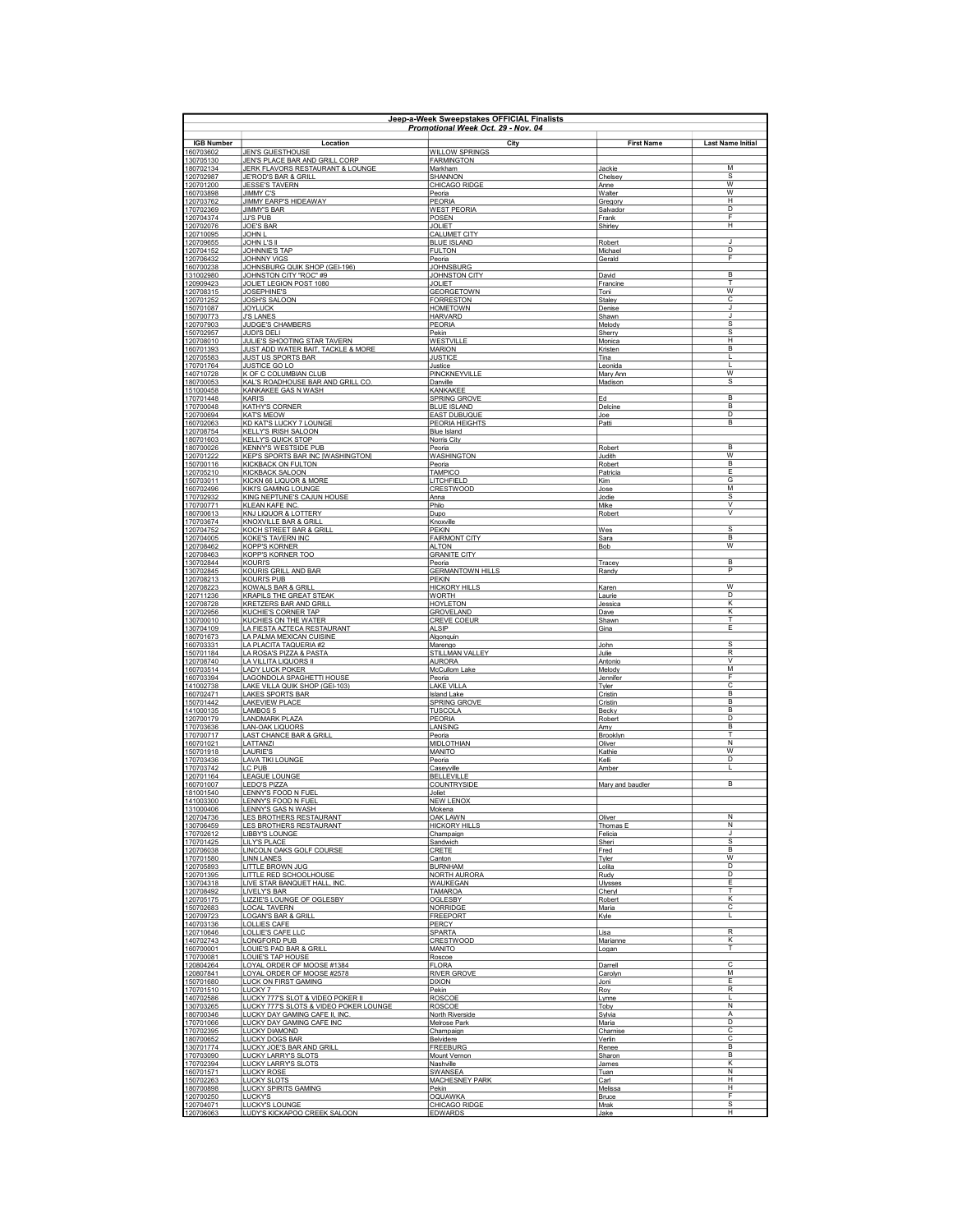| Jeep-a-Week Sweepstakes OFFICIAL Finalists<br>Promotional Week Oct. 29 - Nov. 04 |                                                                          |                                            |                          |                              |
|----------------------------------------------------------------------------------|--------------------------------------------------------------------------|--------------------------------------------|--------------------------|------------------------------|
| <b>IGB Number</b>                                                                | Location                                                                 | City                                       | <b>First Name</b>        | <b>Last Name Initial</b>     |
| 160703602<br>130705130                                                           | <b>JEN'S GUESTHOUSE</b><br>JEN'S PLACE BAR AND GRILL CORP                | <b>WILLOW SPRINGS</b><br><b>FARMINGTON</b> |                          |                              |
| 180702134                                                                        | JERK FLAVORS RESTAURANT & LOUNGE                                         | Markham                                    | Jackie                   | M                            |
| 120702987<br>120701200                                                           | JE'ROD'S BAR & GRILL<br><b>JESSE'S TAVERN</b>                            | SHANNON<br>CHICAGO RIDGE                   | Chelsey<br>Anne          | s<br>W                       |
| 160703898                                                                        | <b>JIMMY C'S</b><br><b>JIMMY EARP'S HIDEAWAY</b>                         | Peoria                                     | Walter                   | W                            |
| 120703762<br>170702369                                                           | <b>JIMMY'S BAR</b>                                                       | PEORIA<br><b>WEST PEORIA</b>               | Gregory<br>Salvador      | н<br>D                       |
| 120704374<br>120702076                                                           | <b>JJ'S PUB</b><br><b>JOE'S BAR</b>                                      | POSEN<br><b>JOLIET</b>                     | Frank<br>Shirley         | F<br>н                       |
| 120710095                                                                        | <b>JOHN L</b>                                                            | <b>CALUMET CITY</b>                        |                          | J                            |
| 120709655<br>120704152                                                           | JOHN L'S II<br><b>JOHNNIE'S TAP</b>                                      | <b>BLUE ISLAND</b><br><b>FULTON</b>        | Robert<br>Michael        | D                            |
| 120706432<br>160700238                                                           | <b>JOHNNY VIGS</b><br>JOHNSBURG QUIK SHOP (GEI-196)                      | Peoria<br><b>JOHNSBURG</b>                 | Gerald                   | F                            |
| 131002980                                                                        | JOHNSTON CITY "ROC" #9                                                   | JOHNSTON CITY<br>JOI IFT                   | David                    | B                            |
| 120909423<br>120708315                                                           | JOLIET LEGION POST 1080<br><b>JOSEPHINE'S</b>                            | <b>GFORGFTOWN</b>                          | Francine<br>Toni         | Т<br>w                       |
| 120701252<br>150701087                                                           | JOSH'S SALOON<br><b>JOYLUCK</b>                                          | <b>FORRESTON</b><br><b>HOMETOWN</b>        | Staley<br>Denise         | C<br>J.                      |
| 150700773                                                                        | <b>J'S LANES</b>                                                         | <b>HARVARD</b>                             | Shawn                    | J                            |
| 120707903<br>150702957                                                           | <b>JUDGE'S CHAMBERS</b><br><b>JUDI'S DELI</b>                            | <b>PEORIA</b><br>Pekin                     | Melody<br>Sherry         | <b>s</b><br>s                |
| 120708010<br>160701393                                                           | JULIE'S SHOOTING STAR TAVERN<br>JUST ADD WATER BAIT, TACKLE & MORE       | WESTVILLE<br><b>MARION</b>                 | Monica<br>Kristen        | H<br>B                       |
| 120705583                                                                        | <b>JUST US SPORTS BAR</b>                                                | <b>JUSTICE</b>                             | Tina                     | L                            |
| 170701764<br>140710728                                                           | JUSTICE GO LO<br>K OF C COLUMBIAN CLUB                                   | Justice<br>PINCKNEYVILLE                   | Leonida<br>Mary Ann      | L<br>$\overline{w}$          |
| 180700053<br>151000458                                                           | KAL'S ROADHOUSE BAR AND GRILL CO.<br>KANKAKEE GAS N WASH                 | Danville<br>KANKAKEE                       | Madison                  | s                            |
| 170701448                                                                        | KARI'S                                                                   | <b>SPRING GROVE</b>                        | Ed                       | в                            |
| 170700048<br>120700694                                                           | KATHY'S CORNER<br><b>KATS MEOW</b>                                       | <b>BLUE ISLAND</b><br><b>EAST DUBUQUE</b>  | Delcine<br><u>Joe</u>    | B<br>D                       |
| 160702063                                                                        | KD KAT'S LUCKY 7 LOUNGE                                                  | <b>PEORIA HEIGHTS</b>                      | Patti                    | B                            |
| 120708754<br>180701603                                                           | <b>KELLY'S IRISH SALOON</b><br><b>KELLY'S QUICK STOP</b>                 | <b>Blue Island</b><br>Norris City          |                          |                              |
| 180700026<br>120701222                                                           | KENNY'S WESTSIDE PUB<br><b>KEP'S SPORTS BAR INC [WASHINGTON]</b>         | Peoria<br><b>WASHINGTON</b>                | Robert<br>Judith         | B<br>W                       |
| 150700116                                                                        | <b>KICKBACK ON FULTON</b>                                                | Peoria                                     | Robert                   | $\overline{B}$               |
| 120705210<br>150703011                                                           | KICKBACK SALOON<br>KICKN 66 LIQUOR & MORE                                | <b>TAMPICO</b><br>LITCHFIELD               | Patricia<br>Kim          | E<br>G                       |
| 160702496<br>170702932                                                           | KIKI'S GAMING LOUNGE<br>KING NEPTUNE'S CAJUN HOUSE                       | CRESTWOOD<br>Anna                          | Jose<br>Jodie            | M<br>s                       |
| 170700771                                                                        | KLEAN KAFE INC.                                                          | Philo                                      | Mike                     | $\vee$                       |
| 180700613<br>170703674                                                           | KNJ LIQUOR & LOTTERY<br><b>KNOXVILLE BAR &amp; GRILL</b>                 | Dupo<br>Knoxville                          | Robert                   | $\vee$                       |
| 120704752<br>120704005                                                           | KOCH STREET BAR & GRILL<br><b>KOKE'S TAVERN INC</b>                      | <b>PEKIN</b><br><b>FAIRMONT CITY</b>       | Wes<br>Sara              | S<br>B                       |
| 120708462                                                                        | <b>KOPP'S KORNER</b>                                                     | <b>ALTON</b>                               | <b>Bob</b>               | $\overline{w}$               |
| 120708463<br>130702844                                                           | <b>KOPP'S KORNER TOO</b><br><b>KOURI'S</b>                               | <b>GRANITE CITY</b><br>Peoria              | Tracey                   | <sub>B</sub>                 |
| 130702845<br>120708213                                                           | KOURIS GRILL AND BAR<br>KOURI'S PUB                                      | <b>GERMANTOWN HILLS</b><br>PEKIN           | Randy                    | P                            |
| 120708223                                                                        | KOWALS BAR & GRILL                                                       | <b>HICKORY HILLS</b>                       | Karen                    | $\overline{W}$               |
| 120711236<br>120708728                                                           | KRAPILS THE GREAT STEAK<br>KRETZERS BAR AND GRILL                        | <b>WORTH</b><br><b>HOYLETON</b>            | Laurie<br>Jessica        | D<br>Κ                       |
| 120702956                                                                        | KUCHIE'S CORNER TAP                                                      | <b>GROVELAND</b>                           | Dave                     | ĸ<br>T                       |
| 130700010<br>130704109                                                           | KUCHIES ON THE WATER<br>LA FIESTA AZTECA RESTAURANT                      | <b>CREVE COEUR</b><br><b>ALSIP</b>         | Shawn<br>Gina            | E                            |
| 180701673<br>160703331                                                           | LA PALMA MEXICAN CUISINE<br>LA PLACITA TAQUERIA #2                       | <b>Algonquin</b><br>Marengo                | John                     | $\overline{s}$               |
| 150701184                                                                        | LA ROSA'S PIZZA & PASTA                                                  | STILLMAN VALLEY                            | Julie                    | $\overline{R}$<br>v          |
| 120708740<br>160703514                                                           | LA VILLITA LIQUORS II<br><b>LADY LUCK POKER</b>                          | <b>AURORA</b><br>McCullom Lake             | Antonio<br>Melody        | M                            |
| 160703394<br>141002738                                                           | LAGONDOLA SPAGHETTI HOUSE<br>LAKE VILLA QUIK SHOP (GEI-103)              | Peoria<br><b>LAKE VILLA</b>                | Jennifer<br><b>Tyler</b> | F<br>с                       |
| 160702471<br>150701442                                                           | LAKES SPORTS BAR<br><b>LAKEVIEW PLACE</b>                                | <b>Island Lake</b>                         | Cristin                  | B<br><sub>B</sub>            |
| 141000135                                                                        | LAMBOS 5                                                                 | SPRING GROVE<br><b>TUSCOLA</b>             | Cristin<br>Becky         | B                            |
| 120700179<br>170703636                                                           | <b>LANDMARK PLAZA</b><br><b>LAN-OAK LIQUORS</b>                          | PEORIA<br>LANSING                          | Robert<br>Amy            | D<br>B                       |
| 170700717<br>160701021                                                           | <b>LAST CHANCE BAR &amp; GRILL</b><br>LATTANZI                           | Peoria<br><b>MIDLOTHIAN</b>                | Brooklyn                 | т<br>N                       |
| 150701918                                                                        | <b>LAURIE'S</b>                                                          | <b>MANITO</b>                              | Oliver<br>Kathie         | $\overline{w}$               |
| 170703436<br>170703742                                                           | <b>LAVA TIKI LOUNGE</b><br>LC PUB                                        | Peoria<br>Caseyville                       | Kelli<br>Amber           | D<br>L                       |
| 120701164<br>160701007                                                           | <b>LEAGUE LOUNGE</b>                                                     | <b>BELLEVILLE</b><br>COUNTRYSIDE           | Mary and baudler         | $\overline{B}$               |
| 181001540                                                                        | LEDO'S PIZZA<br>LENNY'S FOOD N FUEL                                      | Joliet                                     |                          |                              |
| 141003300<br>131000406                                                           | LENNY'S FOOD N FUEL<br>LENNY'S GAS N WASH                                | <b>NEW LENOX</b><br>Mokena                 |                          |                              |
| 120704736<br>130706459                                                           | LES BROTHERS RESTAURANT                                                  | OAK LAWN                                   | Oliver                   | Ν<br>Ν                       |
| 170702612                                                                        | LES BROTHERS RESTAURANT<br>LIBBY'S LOUNGE                                | <b>HICKORY HILLS</b><br>Champaign          | Thomas E<br>Felicia      | J                            |
| 170701425<br>120706038                                                           | LILY'S PLACE<br>LINCOLN OAKS GOLF COURSE                                 | Sandwich<br><b>CRETE</b>                   | Sheri<br>Fred            | s<br><sub>B</sub>            |
| 170701580                                                                        | <b>LINN LANES</b><br>LITTLE BROWN JUG                                    | Canton<br><b>BURNHAM</b>                   | <b>Tyler</b>             | W<br>D                       |
| 120705893<br>120701395                                                           | <b>LITTLE RED SCHOOLHOUSE</b>                                            | NORTH AURORA                               | Lolita<br>Rudy           | D                            |
| 130704318<br>120708492                                                           | LIVE STAR BANQUET HALL, INC<br><b>LIVELY'S BAR</b>                       | WAUKEGAN<br><b>TAMAROA</b>                 | Ulysses<br>Cheryl        | E<br>T                       |
| 120705175<br>150702683                                                           | LIZZIE'S LOUNGE OF OGLESBY<br><b>LOCAL TAVERN</b>                        | OGLESBY<br><b>NORRIDGE</b>                 | Robert<br>Maria          | K<br>C                       |
| 120709723                                                                        | LOGAN'S BAR & GRILL                                                      | <b>FREEPORT</b>                            | Kyle                     |                              |
| 140703136<br>120710646                                                           | <b>LOLLIES CAFE</b><br>LOLLIE'S CAFE LLC                                 | PERCY<br><b>SPARTA</b>                     | Lisa                     | $\mathsf R$                  |
| 140702743                                                                        | <b>LONGFORD PUB</b>                                                      | <b>CRESTWOOD</b>                           | Marianne                 | K                            |
| 160700001<br>170700081                                                           | LOUIE'S PAD BAR & GRILL<br>LOUIE'S TAP HOUSE                             | MANITO<br>Roscoe                           | Logan                    |                              |
| 120804264<br>120807841                                                           | LOYAL ORDER OF MOOSE #1384<br>LOYAL ORDER OF MOOSE #2578                 | <b>FLORA</b><br><b>RIVER GROVE</b>         | Darrell<br>Carolyn       | $\overline{\mathsf{c}}$<br>м |
| 150701680                                                                        | LUCK ON FIRST GAMING                                                     | <b>DIXON</b>                               | Joni                     | E                            |
| 170701510<br>140702586                                                           | LUCKY 7<br>LUCKY 777'S SLOT & VIDEO POKER II                             | Pekin<br><b>ROSCOE</b>                     | Roy<br>Lynne             | $\overline{\mathsf{R}}$<br>L |
| 130703265<br>180700346                                                           | LUCKY 777'S SLOTS & VIDEO POKER LOUNGE<br>LUCKY DAY GAMING CAFE II, INC. | <b>ROSCOE</b><br>North Riverside           | Toby<br>Sylvia           | N<br>A                       |
| 170701066                                                                        | LUCKY DAY GAMING CAFE INC                                                | Melrose Park                               | Maria                    | D                            |
| 170702395<br>180700652                                                           | LUCKY DIAMOND<br><b>LUCKY DOGS BAR</b>                                   | Champaign<br>Belvidere                     | Charnise<br>Verlin       | с<br>с                       |
| 130701774<br>170703090                                                           | LUCKY JOE'S BAR AND GRILL<br><b>LUCKY LARRY'S SLOTS</b>                  | <b>FREEBURG</b><br>Mount Vernon            | Renee<br>Sharon          | B<br>B                       |
| 170702394                                                                        | LUCKY LARRY'S SLOTS                                                      | Nashville                                  | <u>James</u>             | κ                            |
| 160701571<br>150702263                                                           | <b>LUCKY ROSE</b><br><b>LUCKY SLOTS</b>                                  | <b>SWANSEA</b><br><b>MACHESNEY PARK</b>    | Tuan<br>Carl             | N<br>н                       |
| 180700898<br>120700250                                                           | <b>LUCKY SPIRITS GAMING</b><br><b>LUCKY'S</b>                            | Pekin<br><b>OQUAWKA</b>                    | Melissa<br>Bruce         | н<br>F                       |
| 120704071                                                                        | LUCKY'S LOUNGE                                                           | CHICAGO RIDGE                              | Mrak                     | s                            |
| 120706063                                                                        | LUDY'S KICKAPOO CREEK SALOON                                             | <b>EDWARDS</b>                             | Jake                     | H                            |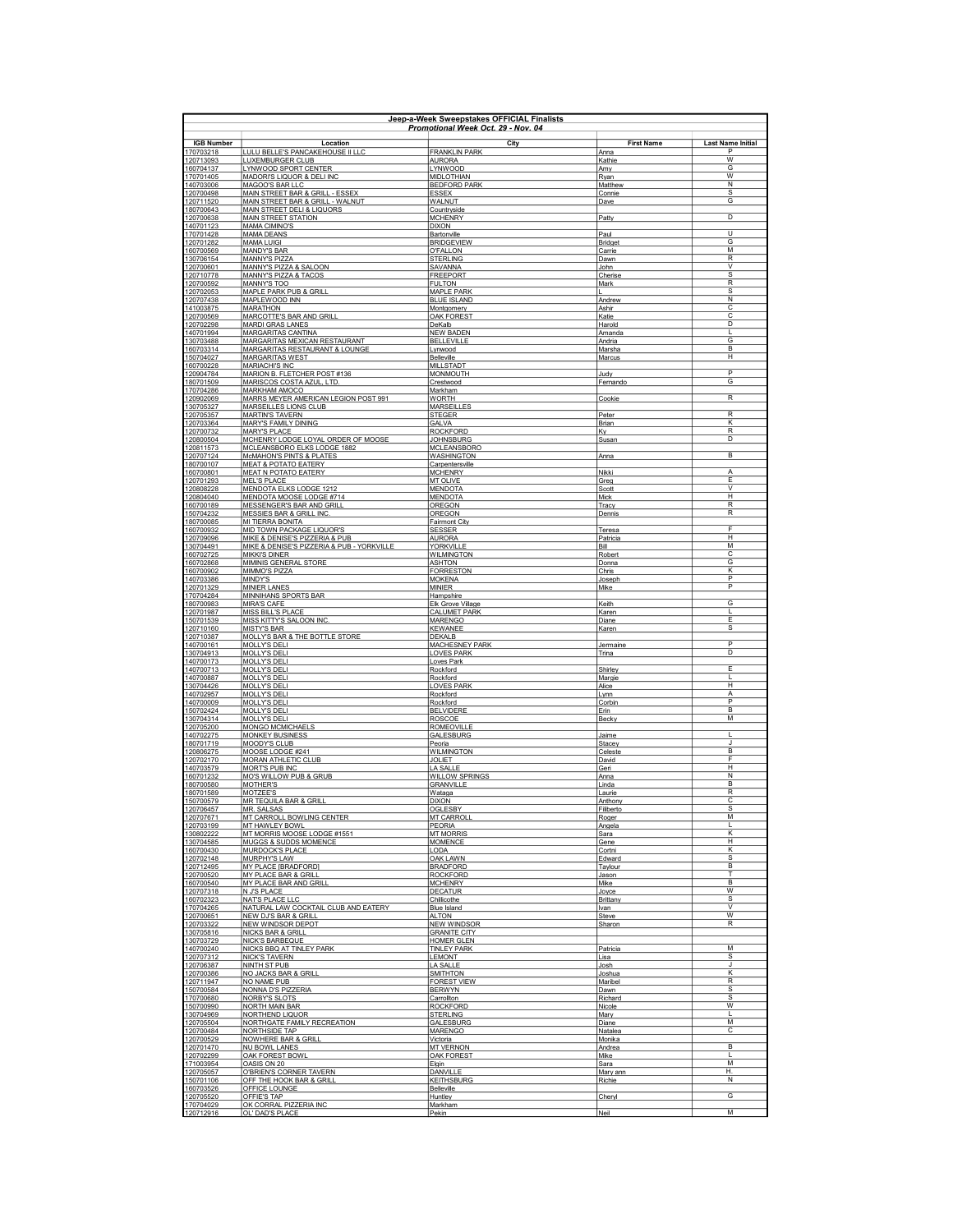| Jeep-a-Week Sweepstakes OFFICIAL Finalists<br>Promotional Week Oct. 29 - Nov. 04 |                                                                        |                                            |                         |                               |
|----------------------------------------------------------------------------------|------------------------------------------------------------------------|--------------------------------------------|-------------------------|-------------------------------|
| <b>IGB Number</b>                                                                | Location                                                               | City                                       | <b>First Name</b>       | <b>Last Name Initial</b>      |
| 170703218                                                                        | LULU BELLE'S PANCAKEHOUSE II LLC<br><b>LUXEMBURGER CLUB</b>            | <b>FRANKLIN PARK</b>                       | Anna                    | P<br>$\overline{W}$           |
| 120713093<br>160704137                                                           | LYNWOOD SPORT CENTER                                                   | <b>AURORA</b><br><b>LYNWOOD</b>            | Kathie<br>Amy           | G                             |
| 170701405<br>140703006                                                           | MADORI'S LIQUOR & DELI INC<br>MAGOO'S BAR LLC                          | <b>MIDLOTHIAN</b><br><b>BEDFORD PARK</b>   | Ryan<br>Matthew         | W<br>N                        |
| 120700498                                                                        | MAIN STREET BAR & GRILL - ESSEX                                        | <b>ESSEX</b>                               | Connie                  | s                             |
| 120711520<br>180700643                                                           | MAIN STREET BAR & GRILL - WALNUT<br>MAIN STREET DELI & LIQUORS         | <b>WALNUT</b><br>Countryside               | Dave                    | G                             |
| 120700638                                                                        | MAIN STREET STATION                                                    | <b>MCHENRY</b>                             | Patty                   | D                             |
| 140701123<br>170701428                                                           | <b>MAMA CIMINO'S</b><br><b>MAMA DEANS</b>                              | <b>DIXON</b><br>Bartonville                | Paul                    | $\overline{U}$                |
| 120701282                                                                        | <b>MAMA LUIGI</b>                                                      | <b>BRIDGEVIEW</b>                          | Bridget                 | G                             |
| 160700569<br>130706154                                                           | <b>MANDY'S BAR</b><br>MANNY'S PIZZA                                    | <b>O'FALLON</b><br><b>STERLING</b>         | Carrie<br>Dawn          | м<br>$\overline{R}$           |
| 120700601<br>120710778                                                           | MANNY'S PIZZA & SALOON                                                 | SAVANNA                                    | John                    | v                             |
| 120700592                                                                        | MANNY'S PIZZA & TACOS<br>MANNY'S TOO                                   | <b>FREEPORT</b><br><b>FULTON</b>           | Cherise<br>Mark         | ${\mathbb S}$<br>$\mathsf{R}$ |
| 120702053<br>120707438                                                           | MAPLE PARK PUB & GRILL<br>MAPLEWOOD INN                                | <b>MAPLE PARK</b><br><b>BLUE ISLAND</b>    | Andrew                  | s<br>N                        |
| 141003875                                                                        | MARATHON                                                               | Montgomery                                 | Ashir                   | C                             |
| 120700569<br>120702298                                                           | MARCOTTE'S BAR AND GRILL<br><b>MARDI GRAS LANES</b>                    | OAK FOREST<br>DeKalb                       | Katie<br>Harold         | C<br>D                        |
| 140701994                                                                        | <b>MARGARITAS CANTINA</b>                                              | <b>NEW BADEN</b>                           | Amanda                  |                               |
| 130703488<br>160703314                                                           | MARGARITAS MEXICAN RESTAURANT<br>MARGARITAS RESTAURANT & LOUNGE        | <b>BELLEVILLE</b><br>Lynwood               | Andria<br>Marsha        | $\overline{\mathsf{G}}$<br>B  |
| 150704027                                                                        | <b>MARGARITAS WEST</b>                                                 | Belleville                                 | Marcus                  | H                             |
| 160700228<br>120904784                                                           | MARIACHI'S INC<br>MARION B. FLETCHER POST #136                         | <b>MILLSTADT</b><br><b>MONMOUTH</b>        | Judy                    | $\overline{\mathsf{P}}$       |
| 180701509                                                                        | MARISCOS COSTA AZUL, LTD.                                              | Crestwood                                  | Fernando                | G                             |
| 170704286<br>120902069                                                           | MARKHAM AMOCO<br>MARRS MEYER AMERICAN LEGION POST 991                  | Markham<br><b>WORTH</b>                    | Cookie                  | R                             |
| 130705327<br>120705357                                                           | MARSEILLES LIONS CLUB                                                  | <b>MARSEILLES</b><br><b>STEGER</b>         |                         | R                             |
| 120703364                                                                        | <b>MARTIN'S TAVERN</b><br><b>MARY'S FAMILY DINING</b>                  | <b>GALVA</b>                               | Peter<br><b>Brian</b>   | К                             |
| 120700732<br>120800504                                                           | <b>MARY'S PLACE</b><br>MCHENRY LODGE LOYAL ORDER OF MOOSE              | <b>ROCKFORD</b><br><b>JOHNSBURG</b>        | <u>Ky</u><br>Susan      | $\sf R$<br>D                  |
| 120811573                                                                        | MCLEANSBORO ELKS LODGE 1882                                            | <b>MCLEANSBORO</b>                         |                         |                               |
| 120707124<br>180700107                                                           | <b>McMAHON'S PINTS &amp; PLATES</b><br><b>MEAT &amp; POTATO EATERY</b> | <b>WASHINGTON</b><br>Carpentersville       | Anna                    | B                             |
| 160700801                                                                        | MEAT N POTATO EATERY                                                   | <b>MCHENRY</b>                             | Nikki                   | Α                             |
| 120701293<br>120808228                                                           | <b>MEL'S PLACE</b><br>MENDOTA ELKS LODGE 1212                          | <b>MT OLIVE</b><br><b>MENDOTA</b>          | Greg<br>Scott           | Ε<br>v                        |
| 120804040                                                                        | MENDOTA MOOSE LODGE #714                                               | <b>MENDOTA</b>                             | Mick                    | H                             |
| 160700189<br>150704232                                                           | MESSENGER'S BAR AND GRILL<br>MESSIES BAR & GRILL INC                   | OREGON<br>OREGON                           | Tracy<br>Dennis         | $\mathsf{R}$<br>${\sf R}$     |
| 180700085                                                                        | MI TIERRA BONITA                                                       | <b>Fairmont City</b>                       |                         | F                             |
| 160700932<br>120709096                                                           | MID TOWN PACKAGE LIQUOR'S<br>MIKE & DENISE'S PIZZERIA & PUB            | <b>SESSER</b><br><b>AURORA</b>             | Teresa<br>Patricia      | H                             |
| 130704491<br>160702725                                                           | MIKE & DENISE'S PIZZERIA & PUB - YORKVILLE<br><b>MIKKI'S DINFR</b>     | YORKVILLE<br><b>WILMINGTON</b>             | Bill<br>Robert          | M<br>С                        |
| 160702868                                                                        | MIMINIS GENERAL STORE                                                  | <b>ASHTON</b>                              | Donna                   | G                             |
| 160700902<br>140703386                                                           | MIMMO'S PIZZA<br><b>MINDY'S</b>                                        | <b>FORRESTON</b><br><b>MOKENA</b>          | Chris<br>Joseph         | κ<br>$\overline{\mathsf{P}}$  |
| 120701329                                                                        | <b>MINIER LANES</b>                                                    | MINIER                                     | Mike                    | P                             |
| 170704284<br>180700983                                                           | MINNIHANS SPORTS BAR<br><b>MIRA'S CAFE</b>                             | Hampshire<br>Elk Grove Village             | Keith                   | G                             |
| 120701987                                                                        | MISS BILL'S PLACE                                                      | <b>CALUMET PARK</b>                        | Karen                   | L                             |
| 150701539<br>120710160                                                           | MISS KITTY'S SALOON INC<br><b>MISTY'S BAR</b>                          | <b>MARENGO</b><br>KEWANEE                  | Diane<br>Karen          | E<br>s                        |
| 120710387                                                                        | MOLLY'S BAR & THE BOTTLE STORE                                         | <b>DEKALB</b>                              |                         | $\overline{P}$                |
| 140700161<br>130704913                                                           | MOLLY'S DELI<br>MOLLY'S DELI                                           | <b>MACHESNEY PARK</b><br><b>LOVES PARK</b> | Jermaine<br>Trina       | D                             |
| 140700173<br>140700713                                                           | MOLLY'S DELI                                                           | Loves Park<br>Rockford                     | Shirley                 | Ε                             |
| 140700887                                                                        | <b>MOLLY'S DELI</b><br>MOLLY'S DELI                                    | Rockford                                   | Margie                  | L                             |
| 130704426<br>140702957                                                           | MOLLY'S DELI<br>MOLLY'S DELI                                           | <b>LOVES PARK</b><br>Rockford              | Alice<br>Lynn           | н<br>А                        |
| 140700009                                                                        | MOLLY'S DELI                                                           | Rockford                                   | Corbin                  | P                             |
| 150702424<br>130704314                                                           | MOLLY'S DELI<br>MOLLY'S DELI                                           | <b>BELVIDERE</b><br><b>ROSCOE</b>          | Erin<br>Becky           | B<br>М                        |
| 120705200                                                                        | <b>MONGO MCMICHAELS</b>                                                | <b>ROMEOVILLE</b>                          |                         |                               |
| 140702275<br>180701719                                                           | <b>MONKEY BUSINESS</b><br>MOODY'S CLUB                                 | <b>GALESBURG</b><br>Peoria                 | Jaime<br>Stacev         | л                             |
| 120806275                                                                        | MOOSE LODGE #241                                                       | <b>WILMINGTON</b>                          | Celeste                 | $\overline{B}$                |
| 120702170<br>140703579                                                           | MORAN ATHLETIC CLUB<br>MORT'S PUB INC                                  | <b>JOLIET</b><br><b>LA SALLE</b>           | David<br>Geri           | F<br>H                        |
| 160701232<br>180700580                                                           | MO'S WILLOW PUB & GRUB<br>MOTHER'S                                     | <b>WILLOW SPRINGS</b><br><b>GRANVILLE</b>  | Anna<br>Linda           | N<br>B                        |
| 180701589                                                                        | MOTZEE'S                                                               | Wataga                                     | Laurie                  | R                             |
| 150700579<br>120706457                                                           | <b>MR TEQUILA BAR &amp; GRILL</b><br>MR. SALSAS                        | <b>DIXON</b><br><b>OGLESBY</b>             | Anthony<br>Filiberto    | с<br>s                        |
| 120707671                                                                        | MT CARROLL BOWLING CENTER                                              | MT CARROLL                                 | Roger                   | М                             |
| 120703199<br>130802222                                                           | MT HAWLEY BOWL<br>MT MORRIS MOOSE LODGE #1551                          | PEORIA<br><b>MT MORRIS</b>                 | Angela<br>Sara          | г<br>κ                        |
| 130704585                                                                        | MUGGS & SUDDS MOMENCE                                                  | <b>MOMENCE</b>                             | Gene                    | Η                             |
| 160700430<br>120702148                                                           | MURDOCK'S PLACE<br>MURPHY'S LAW                                        | <b>LODA</b><br>OAK LAWN                    | Cortni<br>Edward        | К<br>$\overline{s}$           |
| 120712495                                                                        | <b>MY PLACE [BRADFORD]</b>                                             | <b>BRADFORD</b>                            | Taylour                 | R.                            |
| 120700520<br>160700540                                                           | MY PLACE BAR & GRILL<br>MY PLACE BAR AND GRILL                         | <b>ROCKFORD</b><br><b>MCHENRY</b>          | Jason<br>Mike           | т<br>B                        |
| 120707318                                                                        | N J'S PLACE                                                            | <b>DECATUR</b>                             | Joyce                   | w                             |
| 160702323<br>170704265                                                           | <b>NAT'S PLACE LLC</b><br>NATURAL LAW COCKTAIL CLUB AND EATERY         | Chillicothe<br><b>Blue Island</b>          | Brittany<br>Ivan        | s<br>v                        |
| 120700651<br>120703322                                                           | NEW DJ'S BAR & GRILL<br><b>NEW WINDSOR DEPOT</b>                       | <b>ALTON</b><br><b>NEW WINDSOR</b>         | Steve                   | W<br>$\mathsf{R}$             |
| 130705816                                                                        | <b>NICKS BAR &amp; GRILL</b>                                           | <b>GRANITE CITY</b>                        | Sharon                  |                               |
| 130703729<br>140700240                                                           | <b>NICK'S BARBEQUE</b><br>NICKS BBQ AT TINLEY PARK                     | <b>HOMER GLEN</b><br><b>TINLEY PARK</b>    | Patricia                | M                             |
| 120707312                                                                        | <b>NICK'S TAVERN</b>                                                   | <b>LEMONT</b>                              | Lisa                    | $\overline{s}$                |
| 120706387<br>120700386                                                           | NINTH ST PUB<br>NO JACKS BAR & GRILL                                   | <b>LA SALLE</b><br><b>SMITHTON</b>         | Josh<br>Joshua          | J<br>ĸ                        |
| 120711947                                                                        | NO NAME PUB                                                            | <b>FOREST VIEW</b>                         | Maribel                 | $\overline{\mathsf{R}}$       |
| 150700584<br>170700680                                                           | NONNA D'S PIZZERIA<br>NORBY'S SLOTS                                    | <b>BERWYN</b><br>Carrollton                | Dawn<br>Richard         | $\overline{s}$<br>s           |
| 150700990                                                                        | NORTH MAIN BAR                                                         | <b>ROCKFORD</b>                            | Nicole                  | W                             |
| 130704969<br>120705504                                                           | NORTHEND LIQUOR<br>NORTHGATE FAMILY RECREATION                         | <b>STERLING</b><br>GALESBURG               | Mary<br>Diane           | п<br>M                        |
| 120700484                                                                        | NORTHSIDE TAP                                                          | <b>MARENGO</b>                             | Natalea                 | с                             |
| 120700529<br>120701470                                                           | <b>NOWHERE BAR &amp; GRILL</b><br><b>NU BOWL LANES</b>                 | Victoria<br><b>MT VERNON</b>               | Monika<br>Andrea        | B                             |
| 120702299                                                                        | OAK FOREST BOWL                                                        | <b>OAK FOREST</b>                          | Mike                    | п<br>M                        |
| 171003954<br>120705057                                                           | OASIS ON 20<br>O'BRIEN'S CORNER TAVERN                                 | Elgin<br>DANVILLE                          | <u>Sara</u><br>Mary ann | Η.                            |
| 150701106<br>160703526                                                           | OFF THE HOOK BAR & GRILL<br>OFFICE LOUNGE                              | <b>KEITHSBURG</b><br>Belleville            | Richie                  | $\overline{\mathsf{N}}$       |
| 120705520                                                                        | OFFIE'S TAP                                                            | Huntley                                    | Cheryl                  | G                             |
| 170704029<br>120712916                                                           | OK CORRAL PIZZERIA INC<br>OL' DAD'S PLACE                              | Markham<br>Pekin                           | Neil                    | M                             |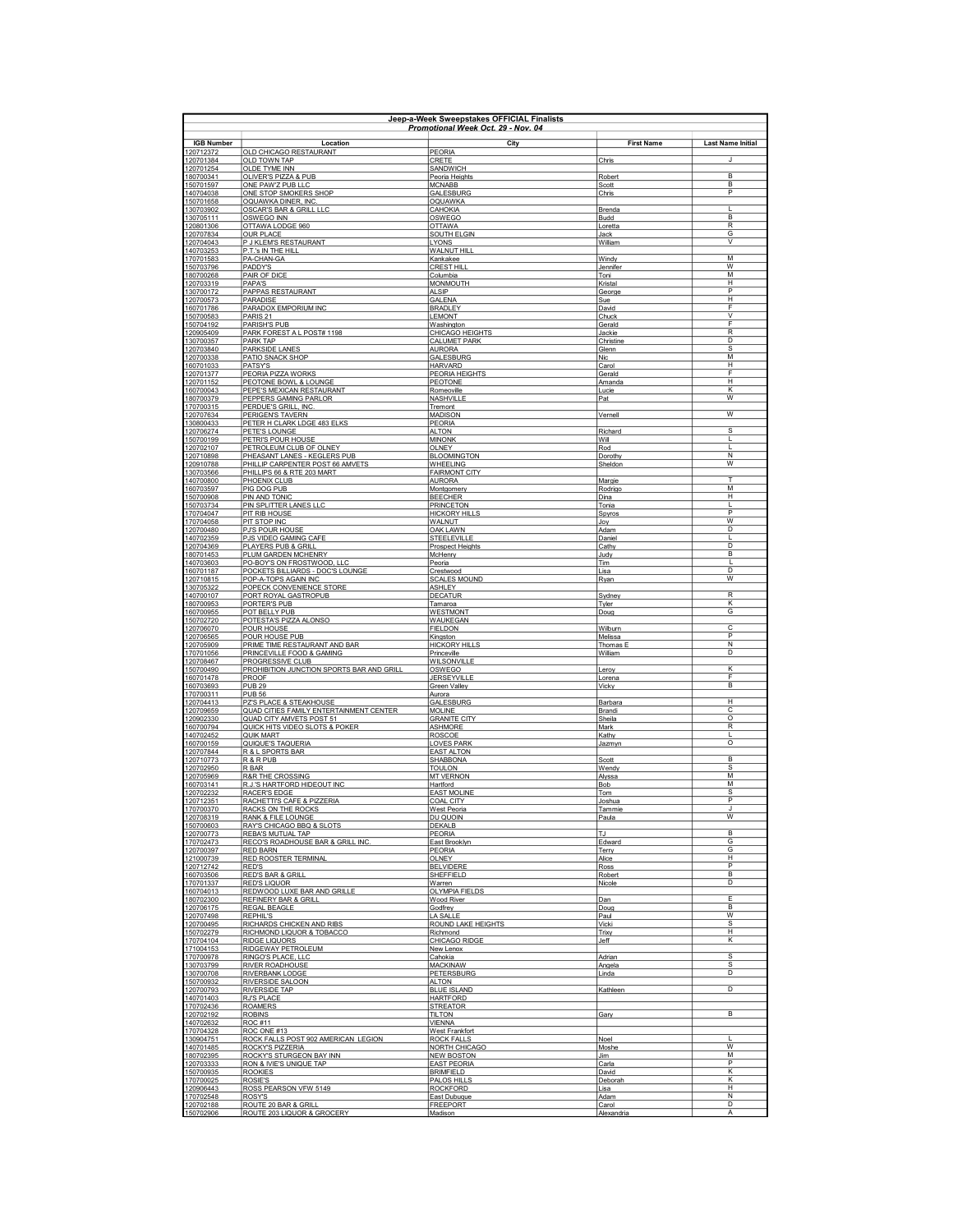|                        | Jeep-a-Week Sweepstakes OFFICIAL Finalists<br>Promotional Week Oct. 29 - Nov. 04 |                                           |                            |                                           |  |
|------------------------|----------------------------------------------------------------------------------|-------------------------------------------|----------------------------|-------------------------------------------|--|
| <b>IGB Number</b>      | Location                                                                         | City                                      | <b>First Name</b>          | <b>Last Name Initial</b>                  |  |
| 120712372<br>120701384 | OLD CHICAGO RESTAURANT<br>OLD TOWN TAP                                           | PEORIA<br>CRETE                           | Chris                      | J                                         |  |
| 120701254              | OLDE TYME INN                                                                    | <b>SANDWICH</b>                           |                            |                                           |  |
| 180700341<br>150701597 | OLIVER'S PIZZA & PUB<br>ONE PAW'Z PUB LLC                                        | Peoria Heights<br><b>MCNABB</b>           | Robert<br>Scott            | B <sub>1</sub><br>B                       |  |
| 140704038<br>150701658 | ONE STOP SMOKERS SHOP<br>OQUAWKA DINER, INC                                      | GALESBURG<br><b>OQUAWKA</b>               | Chris                      | P                                         |  |
| 130703902              | <b>OSCAR'S BAR &amp; GRILL LLC</b>                                               | CAHOKIA                                   | Brenda                     | л                                         |  |
| 130705111<br>120801306 | OSWEGO INN<br>OTTAWA LODGE 960                                                   | OSWEGO<br><b>OTTAWA</b>                   | Budd<br>Loretta            | B<br>R                                    |  |
| 120707834              | <b>OUR PLACE</b>                                                                 | SOUTH ELGIN                               | Jack                       | G<br>$\overline{\mathsf{v}}$              |  |
| 120704043<br>140703253 | P J KLEM'S RESTAURANT<br>P.T.'s IN THE HILL                                      | <b>LYONS</b><br>WALNUT HILL               | William                    |                                           |  |
| 170701583<br>150703796 | PA-CHAN-GA<br>PADDY'S                                                            | Kankakee<br>CREST HILL                    | Windy<br>Jennifer          | M<br>w                                    |  |
| 180700268              | PAIR OF DICE                                                                     | Columbia                                  | Toni                       | M                                         |  |
| 120703319<br>130700172 | PAPA'S<br>PAPPAS RESTAURANT                                                      | <b>MONMOUTH</b><br><b>ALSIP</b>           | Kristal<br>George          | H<br>P                                    |  |
| 120700573              | PARADISE                                                                         | <b>GALENA</b>                             | Sue                        | H                                         |  |
| 160701786<br>150700583 | PARADOX EMPORIUM INC<br>PARIS <sub>21</sub>                                      | <b>BRADLEY</b><br><b>LEMONT</b>           | David<br>Chuck             | E<br>$\vee$                               |  |
| 150704192<br>120905409 | <b>PARISH'S PUB</b><br>PARK FOREST A L POST# 1198                                | Washington<br>CHICAGO HEIGHTS             | Gerald                     | E<br>$\overline{\mathsf{R}}$              |  |
| 130700357              | <b>PARK TAP</b>                                                                  | <b>CALUMET PARK</b>                       | <u>Jackie</u><br>Christine | D                                         |  |
| 120703840<br>120700338 | PARKSIDE LANES<br>PATIO SNACK SHOP                                               | <b>AURORA</b><br>GALESBURG                | Glenn<br>Nic.              | $\overline{s}$<br>M                       |  |
| 160701033              | PATSY'S                                                                          | <b>HARVARD</b>                            | Carol                      | $\overline{H}$<br>E                       |  |
| 120701377<br>120701152 | PEORIA PIZZA WORKS<br>PEOTONE BOWL & LOUNGE                                      | PEORIA HEIGHTS<br>PEOTONE                 | Gerald<br>Amanda           | H                                         |  |
| 160700043<br>180700379 | PEPE'S MEXICAN RESTAURANT<br>PEPPERS GAMING PARLOR                               | Romeoville<br>NASHVILLE                   | Lucie<br><b>Pat</b>        | К<br>w                                    |  |
| 170700315              | PERDUE'S GRILL, INC                                                              | Tremont                                   |                            |                                           |  |
| 120707634<br>130800433 | PERIGEN'S TAVERN<br>PETER H CLARK LDGE 483 ELKS                                  | MADISON<br>PEORIA                         | Vernell                    | W                                         |  |
| 120706274              | PETE'S LOUNGE                                                                    | <b>ALTON</b>                              | Richard                    | s                                         |  |
| 150700199<br>120702107 | PETRI'S POUR HOUSE<br>PETROLEUM CLUB OF OLNEY                                    | <b>MINONK</b><br><b>OLNEY</b>             | Will<br>Rod                | I.                                        |  |
| 120710898<br>120910788 | PHEASANT LANES - KEGLERS PUB<br>PHILLIP CARPENTER POST 66 AMVETS                 | <b>BLOOMINGTON</b><br>WHEELING            | Dorothy<br>Sheldon         | $\overline{N}$<br>$\overline{\mathsf{w}}$ |  |
| 130703566              | PHILLIPS 66 & RTE 203 MART                                                       | <b>FAIRMONT CITY</b>                      |                            |                                           |  |
| 140700800<br>160703597 | PHOENIX CLUB<br>PIG DOG PUB                                                      | <b>AURORA</b><br>Montgomery               | Margie<br>Rodrigo          | T<br>M                                    |  |
| 150700908<br>150703734 | PIN AND TONIC<br>PIN SPLITTER LANES LLC                                          | <b>BEECHER</b><br><b>PRINCETON</b>        | Dina<br>Tonia              | н<br>I.                                   |  |
| 170704047              | PIT RIB HOUSE                                                                    | <b>HICKORY HILLS</b>                      | Spyros                     | P                                         |  |
| 170704058<br>120700480 | PIT STOP INC<br>PJ'S POUR HOUSE                                                  | <b>WALNUT</b><br><b>OAK LAWN</b>          | Joy<br>Adam                | W<br>D                                    |  |
| 140702359              | PJS VIDEO GAMING CAFE                                                            | <b>STEELEVILLE</b>                        | Daniel                     | L                                         |  |
| 120704369<br>180701453 | PLAYERS PUB & GRILL<br>PLUM GARDEN MCHENRY                                       | Prospect Heights<br><b>McHenry</b>        | Cathy<br>Judy              | D<br>B                                    |  |
| 140703603<br>160701187 | PO-BOY'S ON FROSTWOOD, LLC                                                       | Peoria                                    | <b>Tim</b>                 | $\mathbf{L}$<br>D                         |  |
| 120710815              | POCKETS BILLIARDS - DOC'S LOUNGE<br>POP-A-TOPS AGAIN INC                         | Crestwood<br><b>SCALES MOUND</b>          | <u>Lisa</u><br>Ryan        | w                                         |  |
| 130705322<br>140700107 | POPECK CONVENIENCE STORE<br>PORT ROYAL GASTROPUB                                 | <b>ASHLEY</b><br><b>DECATUR</b>           | Sydney                     | $\mathsf{R}$                              |  |
| 180700953              | PORTER'S PUB                                                                     | Tamaroa                                   | Tvler                      | К                                         |  |
| 160700955<br>150702720 | POT BELLY PUB<br>POTESTA'S PIZZA ALONSO                                          | WESTMONT<br>WAUKEGAN                      | Doug                       | G                                         |  |
| 120706070<br>120706565 | POUR HOUSE<br>POUR HOUSE PUB                                                     | <b>FIELDON</b><br>Kingston                | Wilburn<br>Melissa         | C<br>$\overline{P}$                       |  |
| 120705909              | PRIME TIME RESTAURANT AND BAR                                                    | <b>HICKORY HILLS</b>                      | Thomas E                   | $\overline{\mathsf{N}}$                   |  |
| 170701056<br>120708467 | PRINCEVILLE FOOD & GAMING<br>PROGRESSIVE CLUB                                    | Princeville<br>WILSONVILLE                | William                    | $\overline{D}$                            |  |
| 150700490              | PROHIBITION JUNCTION SPORTS BAR AND GRILL                                        | OSWEGO                                    | Leroy                      | К<br>F                                    |  |
| 160701478<br>160703693 | <b>PROOF</b><br><b>PUB 29</b>                                                    | JERSEYVILLE<br>Green Valley               | Lorena<br>Vicky            | B                                         |  |
| 170700311<br>120704413 | <b>PUB 56</b><br>PZ'S PLACE & STEAKHOUSE                                         | Aurora<br>GALESBURG                       | Barbara                    | н                                         |  |
| 120709659              | QUAD CITIES FAMILY ENTERTAINMENT CENTER                                          | <b>MOLINE</b>                             | Brandi                     | C                                         |  |
| 120902330<br>160700794 | QUAD CITY AMVETS POST 51<br>QUICK HITS VIDEO SLOTS & POKER                       | <b>GRANITE CITY</b><br><b>ASHMORE</b>     | Sheila<br>Mark             | $\circ$<br>$\mathsf R$                    |  |
| 140702452              | <b>QUIK MART</b>                                                                 | <b>ROSCOE</b><br><b>LOVES PARK</b>        | Kathy                      | $\mathbf{L}$<br>$\circ$                   |  |
| 160700159<br>120707844 | QUIQUE'S TAQUERIA<br>R & L SPORTS BAR                                            | <b>EAST ALTON</b>                         | <b>Jazmyn</b>              |                                           |  |
| 120710773<br>120702950 | R & R PUB<br>R BAR                                                               | SHABBONA<br><b>TOULON</b>                 | Scott<br>Wendy             | B<br>s                                    |  |
| 120705969              | <b>R&amp;R THE CROSSING</b>                                                      | <b>MT VERNON</b>                          | Alyssa                     | M                                         |  |
| 160703141<br>120702232 | R.J.'S HARTFORD HIDEOUT INC<br><b>RACER'S EDGE</b>                               | Hartford<br><b>EAST MOLINE</b>            | Bob<br><b>Tom</b>          | M<br>s                                    |  |
| 120712351<br>170700370 | RACHETTI'S CAFE & PIZZERIA<br>RACKS ON THE ROCKS                                 | <b>COAL CITY</b><br>West Peoria           | Joshua<br>Tammie           | P<br>J.                                   |  |
| 120708319              | <b>RANK &amp; FILE LOUNGE</b>                                                    | DU QUOIN                                  | Paula                      | w                                         |  |
| 150700603<br>120700773 | RAY'S CHICAGO BBQ & SLOTS<br><b>REBA'S MUTUAL TAP</b>                            | <b>DEKALB</b><br>PEORIA                   | TJ                         | B                                         |  |
| 170702473<br>120700397 | RECO'S ROADHOUSE BAR & GRILL INC.<br><b>RED BARN</b>                             | East Brooklyn<br><b>PEORIA</b>            | Edward                     | G<br>G                                    |  |
| 121000739              | <b>RED ROOSTER TERMINAL</b>                                                      | <b>OLNEY</b>                              | Terry<br>Alice             | H                                         |  |
| 120712742<br>160703506 | RED'S<br><b>RED'S BAR &amp; GRILL</b>                                            | <b>BELVIDERE</b><br>SHEFFIELD             | Ross<br>Robert             | P<br>$\overline{B}$                       |  |
| 170701337              | <b>RED'S LIQUOR</b>                                                              | Warren                                    | Nicole                     | D                                         |  |
| 160704013<br>180702300 | REDWOOD LUXE BAR AND GRILLE<br>REFINERY BAR & GRILL                              | <b>OLYMPIA FIELDS</b><br>Wood River       | Dan                        | E                                         |  |
| 120706175<br>120707498 | REGAL BEAGLE<br><b>REPHIL'S</b>                                                  | Godfrey<br>LA SALLE                       | Doug<br>Paul               | B<br>W                                    |  |
| 120700495              | RICHARDS CHICKEN AND RIBS                                                        | ROUND LAKE HEIGHTS                        | Vicki                      | s                                         |  |
| 150702279<br>170704104 | RICHMOND LIQUOR & TOBACCO<br><b>RIDGE LIQUORS</b>                                | Richmond<br>CHICAGO RIDGE                 | Trixy<br>Jeff              | н<br>Κ                                    |  |
| 171004153              | RIDGEWAY PETROLEUM                                                               | New Lenox                                 |                            |                                           |  |
| 170700978<br>130703799 | RINGO'S PLACE, LLC<br><b>RIVER ROADHOUSE</b>                                     | Cahokia<br><b>MACKINAW</b>                | Adrian<br>Angela           | s<br>$\overline{s}$                       |  |
| 130700708<br>150700932 | RIVERBANK LODGE<br><b>RIVERSIDE SALOON</b>                                       | <b>PETERSBURG</b><br><b>ALTON</b>         | Linda                      | D                                         |  |
| 120700793              | <b>RIVERSIDE TAP</b>                                                             | <b>BLUE ISLAND</b>                        | Kathleen                   | D                                         |  |
| 140701403<br>170702436 | RJ'S PLACE<br><b>ROAMERS</b>                                                     | <b>HARTFORD</b><br><b>STREATOR</b>        |                            |                                           |  |
| 120702192              | <b>ROBINS</b>                                                                    | TII TON<br><b>VIENNA</b>                  | Gary                       | B                                         |  |
| 140702632<br>170704328 | <b>ROC #11</b><br>ROC ONE #13                                                    | <b>West Frankfort</b>                     |                            |                                           |  |
| 130904751<br>140701485 | ROCK FALLS POST 902 AMERICAN LEGION<br>ROCKY'S PIZZERIA                          | <b>ROCK FALLS</b><br><b>NORTH CHICAGO</b> | Noel<br>Moshe              | J.<br>w                                   |  |
| 180702395              | ROCKY'S STURGEON BAY INN                                                         | <b>NEW BOSTON</b>                         | Jim                        | M                                         |  |
| 120703333<br>150700935 | RON & IVIE'S UNIQUE TAP<br><b>ROOKIES</b>                                        | <b>EAST PEORIA</b><br><b>BRIMFIELD</b>    | Carla<br>David             | P<br>К                                    |  |
| 170700025<br>120906443 | ROSIE'S<br>ROSS PEARSON VFW 5149                                                 | PALOS HILLS<br><b>ROCKFORD</b>            | Deborah<br>Lisa            | К<br>H                                    |  |
| 170702548              | <b>ROSY'S</b>                                                                    | East Dubuque                              | Adam                       | N                                         |  |
| 120702188<br>150702906 | ROUTE 20 BAR & GRILL<br>ROUTE 203 LIQUOR & GROCERY                               | <b>FREEPORT</b><br>Madison                | Carol<br>Alexandria        | D<br>$\overline{A}$                       |  |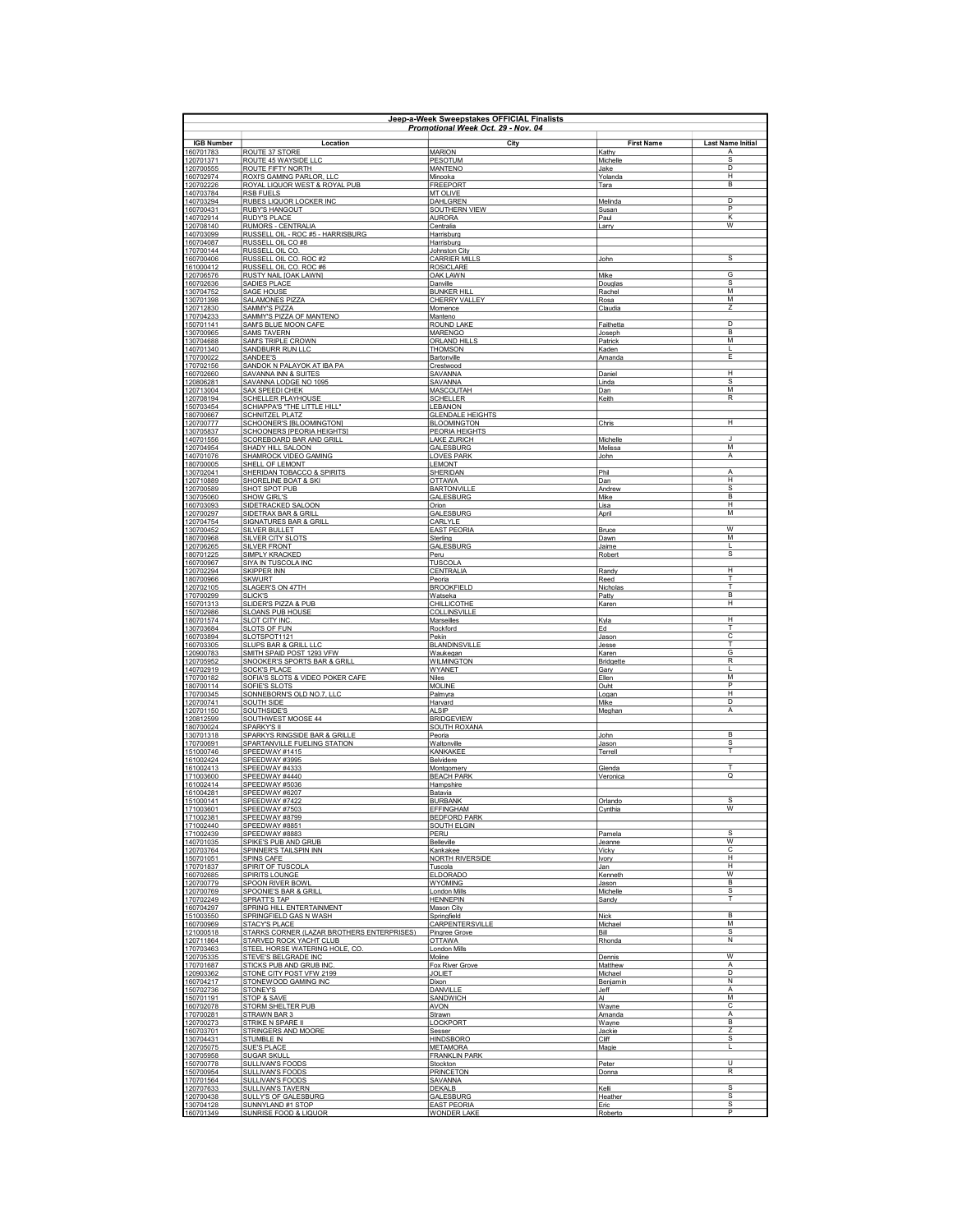|                        | Jeen-a-Week Sweenstakes OFFICIAL Finalists<br>Promotional Week Oct. 29 - Nov. 04 |                                          |                            |                          |  |
|------------------------|----------------------------------------------------------------------------------|------------------------------------------|----------------------------|--------------------------|--|
| <b>IGB Number</b>      | Location                                                                         | City                                     | <b>First Name</b>          | <b>Last Name Initial</b> |  |
| 160701783<br>120701371 | ROUTE 37 STORE<br>ROUTE 45 WAYSIDE LLC                                           | <b>MARION</b><br>PESOTUM                 | Kathy<br>Michelle          | Α<br>$\overline{s}$      |  |
| 120700555              | ROUTE FIFTY NORTH                                                                | <b>MANTENO</b>                           | Jake                       | D                        |  |
| 160702974<br>120702226 | ROXI'S GAMING PARLOR, LLC<br>ROYAL LIQUOR WEST & ROYAL PUB                       | Minooka<br><b>FREEPORT</b>               | Yolanda<br>Tara            | H<br>B                   |  |
| 140703784<br>140703294 | <b>RSB FUELS</b><br>RUBES LIQUOR LOCKER INC                                      | <b>MT OLIVE</b><br>DAHLGREN              | Melinda                    | D                        |  |
| 160700431              | <b>RUBY'S HANGOUT</b>                                                            | SOUTHERN VIEW                            | Susar                      | P                        |  |
| 140702914<br>120708140 | RUDY'S PLACE<br>RUMORS - CENTRALIA                                               | <b>AURORA</b><br>Centralia               | Paul<br>Larry              | К<br>$\overline{w}$      |  |
| 140703099<br>160704087 | RUSSELL OIL - ROC #5 - HARRISBURG<br>RUSSELL OIL CO #8                           | Harrisburg<br>Harrisburg                 |                            |                          |  |
| 170700144              | RUSSELL OIL CO.                                                                  | Johnston City                            |                            |                          |  |
| 160700406<br>161000412 | RUSSELL OIL CO. ROC #2<br>RUSSELL OIL CO. ROC #6                                 | <b>CARRIER MILLS</b><br><b>ROSICLARE</b> | John                       | s                        |  |
| 120706576<br>160702636 | RUSTY NAIL JOAK LAWN]<br>SADIES PLACE                                            | OAK LAWN<br>Danville                     | Mike                       | G<br>s                   |  |
| 130704752              | SAGE HOUSE                                                                       | <b>BUNKER HILL</b>                       | Douglas<br>Rachel          | м                        |  |
| 130701398<br>120712830 | SALAMONES PIZZA<br>SAMMY'S PIZZA                                                 | CHERRY VALLEY<br>Momence                 | Rosa<br>Claudia            | M<br>Z                   |  |
| 170704233              | SAMMY'S PIZZA OF MANTENO                                                         | Manteno                                  |                            | D.                       |  |
| 150701141<br>130700965 | SAM'S BLUE MOON CAFE<br><u>SAMS TAVERN</u>                                       | <b>ROUND LAKE</b><br><b>MARENGO</b>      | Faithetta<br><u>Joseph</u> | B                        |  |
| 130704688<br>140701340 | <b>SAM'S TRIPLE CROWN</b><br>SANDBURR RUN LLC                                    | <b>ORLAND HILLS</b><br><b>THOMSON</b>    | Patrick<br>Kaden           | M<br>L                   |  |
| 170700022              | <b>SANDEE'S</b>                                                                  | Bartonville                              | Amanda                     | Ε                        |  |
| 170702156<br>160702660 | SANDOK N PALAYOK AT IBA PA<br>SAVANNA INN & SUITES                               | Crestwood<br>SAVANNA                     | Daniel                     | н                        |  |
| 120806281<br>120713004 | SAVANNA LODGE NO 1095<br>SAX SPEEDI CHEK                                         | SAVANNA<br>MASCOUTAH                     | Linda<br>Dan               | <sub>S</sub><br>M        |  |
| 120708194              | SCHELLER PLAYHOUSE                                                               | SCHELLER                                 | Keith                      | R                        |  |
| 150703454<br>180700667 | SCHIAPPA'S "THE LITTLE HILL<br><b>SCHNITZEL PLATZ</b>                            | LEBANON<br><b>GLENDALE HEIGHTS</b>       |                            |                          |  |
| 120700777              | SCHOONER'S [BLOOMINGTON]                                                         | <b>BLOOMINGTON</b>                       | Chris                      | H                        |  |
| 130705837<br>140701556 | <b>SCHOONERS [PEORIA HEIGHTS]</b><br>SCOREBOARD BAR AND GRILL                    | <b>PEORIA HEIGHTS</b><br>LAKE ZURICH     | Michelle                   |                          |  |
| 120704954<br>140701076 | SHADY HILL SALOON<br>SHAMROCK VIDEO GAMING                                       | <b>GALESBURG</b><br><b>LOVES PARK</b>    | Melissa<br>John            | M<br>Α                   |  |
| 180700005              | SHELL OF LEMONT                                                                  | <b>LEMONT</b><br><b>SHERIDAN</b>         |                            |                          |  |
| 130702041<br>120710889 | SHERIDAN TOBACCO & SPIRITS<br>SHORELINE BOAT & SKI                               | <b>OTTAWA</b>                            | Phil<br>Dan                | A<br>H                   |  |
| 120700589<br>130705060 | SHOT SPOT PUB<br>SHOW GIRL'S                                                     | <b>BARTONVILLE</b><br>GALESBURG          | Andrew<br>Mike             | s<br>B                   |  |
| 160703093              | SIDETRACKED SALOON                                                               | Orion                                    | Lisa                       | H                        |  |
| 120700297<br>120704754 | SIDETRAX BAR & GRILL<br>SIGNATURES BAR & GRIL                                    | GALESBURG<br>CARLYLE                     | April                      | M                        |  |
| 130700452<br>180700968 | <b>SILVER BULLET</b><br><b>SILVER CITY SLOTS</b>                                 | <b>EAST PEORIA</b>                       | Bruce                      | w<br>M                   |  |
| 120706265              | <b>SILVER FRONT</b>                                                              | Sterling<br><b>GALESBURG</b>             | Dawn<br>Jaime              | $\mathbf{I}$             |  |
| 180701225<br>160700967 | SIMPLY KRACKED<br>SIYA IN TUSCOLA INC                                            | Peru<br><b>TUSCOLA</b>                   | Robert                     | $\overline{s}$           |  |
| 120702294<br>180700966 | SKIPPER INN<br><b>SKWURT</b>                                                     | CENTRALIA                                | Randy                      | $\overline{H}$<br>T      |  |
| 120702105              | SLAGER'S ON 47TH                                                                 | Peoria<br><b>BROOKFIELD</b>              | Reed<br>Nicholas           | T                        |  |
| 170700299<br>150701313 | <b>SLICK'S</b><br>SLIDER'S PIZZA & PUB                                           | Watseka<br>CHILLICOTHE                   | Patty<br>Karen             | B<br>H                   |  |
| 150702986              | SLOANS PUB HOUSE                                                                 | <b>COLLINSVILLE</b>                      |                            | H                        |  |
| 180701574<br>130703684 | <b>SLOT CITY INC</b><br>SLOTS OF FUN                                             | Marseille<br>Rockford                    | Kyla<br>Ed                 | T                        |  |
| 160703894<br>160703305 | SLOTSPOT1121<br>SLUPS BAR & GRILL LLC                                            | Pekin<br><b>BLANDINSVILLE</b>            | <u>Jason</u><br>Jesse      | C                        |  |
| 120900783              | SMITH SPAID POST 1293 VFW                                                        | Waukegan                                 | Karen                      | G<br>$\overline{R}$      |  |
| 120705952<br>140702919 | SNOOKER'S SPORTS BAR & GRILL<br><b>SOCK'S PLACE</b>                              | <b>WILMINGTON</b><br>WYANET              | Bridgette<br>Gary          | $\mathbf{I}$             |  |
| 170700182<br>180700114 | SOFIA'S SLOTS & VIDEO POKER CAFE<br>SOFIE'S SLOTS                                | <b>Niles</b><br><b>MOLINE</b>            | Ellen<br>Ouht              | M<br>P                   |  |
| 170700345              | SONNEBORN'S OLD NO.7, LLC                                                        | Palmyra                                  | Logan                      | н                        |  |
| 120700741<br>120701150 | SOUTH SIDE<br>SOUTHSIDE'S                                                        | Harvard<br><b>ALSIP</b>                  | Mike<br>Meghan             | D<br>A                   |  |
| 120812599<br>180700024 | SOUTHWEST MOOSE 44<br>SPARKY'S II                                                | <b>BRIDGEVIEW</b><br>SOUTH ROXANA        |                            |                          |  |
| 130701318              | SPARKYS RINGSIDE BAR & GRILLE                                                    | Peoria                                   | John                       | <b>B</b>                 |  |
| 170700691<br>151000746 | SPARTANVILLE FUELING STATION<br>SPEEDWAY #1415                                   | Waltonville<br><b>KANKAKEE</b>           | <u>Jason</u><br>Terrell    | s<br>т                   |  |
| 161002424<br>161002413 | SPEEDWAY #3995<br>SPEEDWAY #4333                                                 | Belvidere<br>Montgomery                  | Glenda                     | т                        |  |
| 171003600              | SPEEDWAY #4440                                                                   | <b>BEACH PARK</b>                        | Veronica                   | $\overline{\mathsf{Q}}$  |  |
| 161002414<br>161004281 | SPEEDWAY #5036<br>SPEEDWAY #6207                                                 | Hampshire<br>Batavia                     |                            |                          |  |
| 151000141<br>171003601 | SPEEDWAY #7422<br>SPEEDWAY #7503                                                 | <b>BURBANK</b><br><b>EFFINGHAM</b>       | Orlando<br>Cynthia         | <sub>S</sub><br>w        |  |
| 171002381              | SPEEDWAY #8799                                                                   | <b>BEDFORD PARK</b>                      |                            |                          |  |
| 171002440<br>171002439 | SPEEDWAY #8851<br>SPEEDWAY #8883                                                 | <b>SOUTH ELGIN</b><br>PERU               | Pamela                     | S                        |  |
| 140701035<br>120703764 | SPIKE'S PUB AND GRUB<br>SPINNER'S TAILSPIN INN                                   | Belleville                               | <u>Jeanne</u>              | $\overline{w}$<br>C      |  |
| 150701051              | SPINS CAFE                                                                       | Kankakee<br><b>NORTH RIVERSIDE</b>       | Vicky<br>Ivory             | H                        |  |
| 170701837<br>160702685 | SPIRIT OF TUSCOLA<br>SPIRITS LOUNGE                                              | Tuscola<br><b>ELDORADO</b>               | Jan<br>Kenneth             | H<br>$\overline{w}$      |  |
| 120700779              | <b>SPOON RIVER BOWL</b>                                                          | <b>WYOMING</b>                           | Jason                      | B                        |  |
| 120700769<br>170702249 | SPOONIE'S BAR & GRILL<br>SPRATT'S TAP                                            | London Mills<br><b>HENNEPIN</b>          | Michelle<br>Sandy          | s<br>Т                   |  |
| 160704297<br>151003550 | SPRING HILL ENTERTAINMENT<br>SPRINGFIELD GAS N WASH                              | Mason City<br>Springfield                | Nick                       | B                        |  |
| 160700969              | STACY'S PLACE                                                                    | <b>CARPENTERSVILLE</b>                   | Michael                    | М                        |  |
| 121000518<br>120711864 | STARKS CORNER (LAZAR BROTHERS ENTERPRISES)<br>STARVED ROCK YACHT CLUB            | Pingree Grove<br><b>OTTAWA</b>           | <b>Bill</b><br>Rhonda      | S<br>Ν                   |  |
| 170703463<br>120705335 | STEEL HORSE WATERING HOLE, CO<br>STEVE'S BELGRADE INC                            | London Mills<br>Moline                   | Dennis                     | W                        |  |
| 170701687              | STICKS PUB AND GRUB INC                                                          | Fox River Grove                          | Matthew                    | $\overline{A}$           |  |
| 120903362<br>160704217 | STONE CITY POST VFW 2199<br>STONEWOOD GAMING INC                                 | <b>JOLIET</b><br>Dixon                   | Michael<br>Benjamin        | D<br>$\overline{N}$      |  |
| 150702736              | STONEY'S                                                                         | DANVILLE<br>SANDWICH                     | Jeff<br>AI                 | А<br>M                   |  |
| 150701191<br>160702078 | STOP & SAVE<br>STORM SHELTER PUB                                                 | <b>AVON</b>                              | Wayne                      | C                        |  |
| 170700281<br>120700273 | STRAWN BAR 3<br>STRIKE N SPARE II                                                | Strawn<br>LOCKPORT                       | Amanda<br>Wayne            | A<br>B                   |  |
| 160703701              | STRINGERS AND MOORE                                                              | Sesser                                   | Jackie                     | 7                        |  |
| 130704431<br>120705075 | <b>STUMBLE IN</b><br><b>SUE'S PLACE</b>                                          | <b>HINDSBORO</b><br><b>METAMORA</b>      | Cliff<br>Magie             | s<br>т                   |  |
| 130705958<br>150700778 | <b>SUGAR SKULL</b><br><b>SULLIVAN'S FOODS</b>                                    | <b>FRANKLIN PARK</b><br>Stockton         | Peter                      | $\overline{U}$           |  |
| 150700954              | SULLIVAN'S FOODS                                                                 | <b>PRINCETON</b>                         | Donna                      | R                        |  |
| 170701564<br>120707633 | <b>SULLIVAN'S FOODS</b><br>SULLIVAN'S TAVERN                                     | SAVANNA<br>DEKALB                        | Kelli                      | $\overline{\mathsf{s}}$  |  |
| 120700438<br>130704128 | SULLY'S OF GALESBURG<br>SUNNYLAND #1 STOP                                        | GALESBURG<br><b>EAST PEORIA</b>          | Heather<br>Eric            | s<br>S                   |  |
| 160701349              | SUNRISE FOOD & LIQUOR                                                            | <b>WONDER LAKE</b>                       | Roberto                    | P                        |  |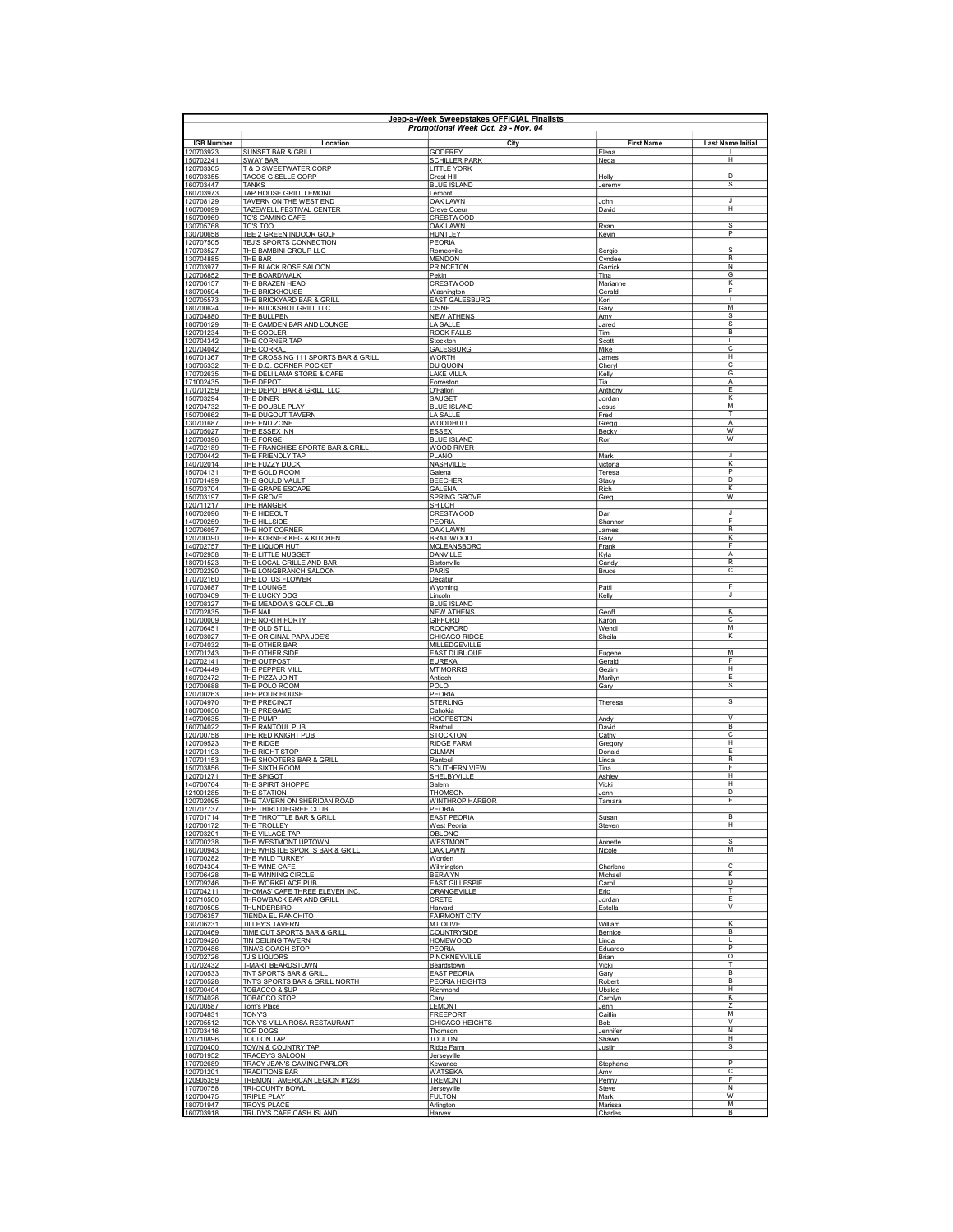| Jeep-a-Week Sweepstakes OFFICIAL Finalists<br>Promotional Week Oct. 29 - Nov. 04 |                                                                     |                                            |                       |                            |
|----------------------------------------------------------------------------------|---------------------------------------------------------------------|--------------------------------------------|-----------------------|----------------------------|
| <b>IGB Number</b>                                                                | Location                                                            | City                                       | <b>First Name</b>     | <b>Last Name Initial</b>   |
| 120703923                                                                        | <b>SUNSET BAR &amp; GRILL</b>                                       | <b>GODFREY</b>                             | Elena                 | т                          |
| 150702241<br>120703305                                                           | <b>SWAY BAR</b><br>T & D SWEETWATER CORP                            | <b>SCHILLER PARK</b><br><b>LITTLE YORK</b> | Neda                  | H                          |
| 160703355<br>160703447                                                           | <b>TACOS GISELLE CORP</b><br><b>TANKS</b>                           | Crest Hill<br><b>BLUE ISLAND</b>           | Holly<br>Jeremy       | D<br>s                     |
| 160703973                                                                        | TAP HOUSE GRILL LEMONT                                              | Lemont                                     |                       |                            |
| 120708129<br>160700099                                                           | TAVERN ON THE WEST END<br><b>TAZEWELL FESTIVAL CENTER</b>           | OAK LAWN<br>Creve Coeur                    | John<br>David         | J<br>н                     |
| 150700969                                                                        | <b>TC'S GAMING CAFE</b>                                             | <b>CRESTWOOD</b>                           |                       |                            |
| 130705768<br>130700658                                                           | TC'S TOO<br>TEE 2 GREEN INDOOR GOLF                                 | <b>OAK LAWN</b><br><b>HUNTLEY</b>          | <b>Ryan</b><br>Kevin  | s<br>$\overline{P}$        |
| 120707505                                                                        | TEJ'S SPORTS CONNECTION                                             | PEORIA                                     |                       |                            |
| 170703527<br>130704885                                                           | THE BAMBINI GROUP LLC<br>THE BAR                                    | Romeoville<br><b>MENDON</b>                | Sergio<br>Cyndee      | s<br>$\overline{B}$        |
| 170703977<br>120706852                                                           | THE BLACK ROSE SALOON                                               | <b>PRINCETON</b>                           | Garrick               | N                          |
| 120706157                                                                        | THE BOARDWALK<br>THE BRAZEN HEAD                                    | Pekin<br><b>CRESTWOOD</b>                  | Tina<br>Marianne      | G<br>К                     |
| 180700594<br>120705573                                                           | THE BRICKHOUSE<br>THE BRICKYARD BAR & GRILL                         | Washington<br><b>EAST GALESBURG</b>        | Gerald<br>Kori        | F<br>T                     |
| 180700624                                                                        | THE BUCKSHOT GRILL LLC                                              | <b>CISNE</b>                               | Gary                  | M                          |
| 130704880<br>180700129                                                           | THE BULLPEN<br>THE CAMDEN BAR AND LOUNGE                            | <b>NEW ATHENS</b><br>LA SALLE              | Amy<br>Jared          | s<br>S                     |
| 120701234                                                                        | THE COOLER                                                          | <b>ROCK FALLS</b>                          | Tim                   | B<br>$\mathbf{I}$          |
| 120704342<br>120704042                                                           | THE CORNER TAP<br>THE CORRAL                                        | Stockton<br>GALESBURG                      | Scott<br>Mike         | $\overline{\mathsf{c}}$    |
| 160701367<br>130705332                                                           | THE CROSSING 111 SPORTS BAR & GRILL<br>THE D.Q. CORNER POCKET       | <b>WORTH</b><br>DU QUOIN                   | James<br>Cheryl       | H<br>C                     |
| 170702635                                                                        | THE DELI LAMA STORE & CAFE                                          | <b>LAKE VILLA</b>                          | Kelly                 | G                          |
| 171002435<br>170701259                                                           | THE DEPOT<br>THE DEPOT BAR & GRILL, LLC                             | Forreston<br>O'Fallon                      | Tia<br>Anthony        | A<br>E                     |
| 150703294                                                                        | THE DINER                                                           | SAUGET                                     | Jordan                | К                          |
| 120704732<br>150700662                                                           | THE DOUBLE PLAY<br>THE DUGOUT TAVERN                                | <b>BLUE ISLAND</b><br><b>LA SALLE</b>      | Jesus<br>Fred         | M<br>T                     |
| 130701687                                                                        | THE END ZONE                                                        | WOODHULL                                   | Gregg                 | А                          |
| 130705027<br>120700396                                                           | <b>THE ESSEX INN</b><br>THE FORGE                                   | <b>ESSEX</b><br><b>BLUE ISLAND</b>         | Becky<br>Ron          | W<br>W                     |
| 140702189                                                                        | THE FRANCHISE SPORTS BAR & GRILL                                    | <b>WOOD RIVER</b>                          |                       | $\mathbf{J}$               |
| 120700442<br>140702014                                                           | THE FRIENDLY TAP<br>THE FUZZY DUCK                                  | PLANO<br>NASHVILLE                         | Mark<br>victoria      | $\overline{\mathsf{K}}$    |
| 150704131<br>170701499                                                           | THE GOLD ROOM<br>THE GOULD VAULT                                    | Galena<br><b>BEECHER</b>                   | Teresa                | P<br>D.                    |
| 150703704                                                                        | THE GRAPE ESCAPE                                                    | GALENA                                     | Stacy<br>Rich         | К                          |
| 150703197<br>120711217                                                           | THE GROVE<br>THE HANGER                                             | SPRING GROVE<br>SHILOH                     | Greg                  | w                          |
| 160702096                                                                        | THE HIDEOUT                                                         | <b>CRESTWOOD</b>                           | Dan                   | $\cdot$                    |
| 140700259<br>120706057                                                           | THE HILLSIDE<br>THE HOT CORNER                                      | PEORIA<br><b>OAK LAWN</b>                  | Shannon<br>James      | F<br>B                     |
| 120700390                                                                        | THE KORNER KEG & KITCHEN                                            | <b>BRAIDWOOD</b>                           | Gary                  | К                          |
| 140702757<br>140702958                                                           | THE LIQUOR HUT<br>THE LITTLE NUGGET                                 | <b>MCLEANSBORO</b><br>DANVILLE             | Frank<br>Kyla         | F<br>Α                     |
| 180701523                                                                        | THE LOCAL GRILLE AND BAR                                            | Bartonville                                | Candy                 | R                          |
| 120702290<br>170702160                                                           | THE LONGBRANCH SALOON<br>THE LOTUS FLOWER                           | PARIS<br>Decatur                           | Bruce                 | С                          |
| 170703687                                                                        | THE LOUNGE                                                          | Wyoming                                    | Patti                 | F<br>J                     |
| 160703409<br>120708327                                                           | THE LUCKY DOG<br>THE MEADOWS GOLF CLUB                              | Lincoln<br><b>BLUE ISLAND</b>              | Kelly                 |                            |
| 170702835<br>150700009                                                           | THE NAIL<br>THE NORTH FORTY                                         | <b>NEW ATHENS</b><br><b>GIFFORD</b>        | Geoff<br>Karon        | к<br>C                     |
| 120706451                                                                        | THE OLD STILL                                                       | <b>ROCKFORD</b>                            | Wendi                 | м                          |
| 160703027<br>140704032                                                           | THE ORIGINAL PAPA JOE'S<br>THE OTHER BAR                            | CHICAGO RIDGE<br>MILLEDGEVILLE             | Sheila                | K                          |
| 120701243                                                                        | THE OTHER SIDE                                                      | <b>EAST DUBUQUE</b>                        | Eugene                | $\overline{M}$             |
| 120702141<br>140704449                                                           | THE OUTPOST<br>THE PEPPER MILI                                      | <b>EUREKA</b><br><b>MT MORRIS</b>          | Gerald<br>Gezim       | F<br>$\overline{H}$        |
| 160702472                                                                        | THE PIZZA JOINT                                                     | Antioch                                    | Marilyn               | E                          |
| 120700688<br>120700263                                                           | THE POLO ROOM<br>THE POUR HOUSE                                     | POLO<br>PEORIA                             | Gary                  | s                          |
| 130704970<br>180700656                                                           | THE PRECINCT<br>THE PREGAME                                         | <b>STERLING</b><br>Cahokia                 | Theresa               | s                          |
| 140700635                                                                        | THE PUMP                                                            | <b>HOOPESTON</b>                           | Andy                  | $\vee$                     |
| 160704022<br>120700758                                                           | THE RANTOUL PUB<br>THE RED KNIGHT PUB                               | Rantoul<br><b>STOCKTON</b>                 | David<br>Cathy        | B<br>C                     |
| 120709523                                                                        | THE RIDGE                                                           | <b>RIDGE FARM</b>                          | Gregory               | Н                          |
| 120701193<br>170701153                                                           | THE RIGHT STOP<br>THE SHOOTERS BAR & GRILL                          | <b>GILMAN</b><br>Rantoul                   | Donald<br>Linda       | E<br>$\overline{B}$        |
| 150703856                                                                        | THE SIXTH ROOM                                                      | SOUTHERN VIEW                              | Tina                  | F                          |
| 120701271<br>140700764                                                           | THE SPIGOT<br>THE SPIRIT SHOPPE                                     | SHELBYVILLE<br>Salem                       | Ashley<br>Vicki       | H<br>H                     |
| 121001285<br>120702095                                                           | THE STATION<br>THE TAVERN ON SHERIDAN ROAD                          | <b>THOMSON</b><br>WINTHROP HARBOR          | Jenn<br>Tamara        | D<br>E                     |
| 120707737                                                                        | THE THIRD DEGREE CLUB                                               | PEORIA                                     |                       |                            |
| 170701714<br>120700172                                                           | THE THROTTLE BAR & GRILL<br>THE TROLLEY                             | <b>EAST PEORIA</b><br><b>West Peoria</b>   | Susan<br>Steven       | B<br>н                     |
| 120703201                                                                        | THE VILLAGE TAP                                                     | <b>OBLONG</b>                              |                       |                            |
| 130700238<br>160700943                                                           | THE WESTMONT UPTOWN<br>THE WHISTLE SPORTS BAR & GRILL               | <b>WESTMONT</b><br><b>OAK LAWN</b>         | Annette<br>Nicole     | s<br>М                     |
| 170700282                                                                        | THE WILD TURKEY                                                     | Worden                                     |                       | C                          |
| 160704304<br>130706428                                                           | THE WINE CAFE<br>THE WINNING CIRCLE                                 | Wilmington<br><b>BERWYN</b>                | Charlene<br>Michael   | К                          |
| 120709246                                                                        | THE WORKPLACE PUB<br>THOMAS' CAFE THREE ELEVEN INC                  | <b>EAST GILLESPIE</b><br>ORANGEVILLE       | Carol                 | D<br>т                     |
| 170704211<br>120710500                                                           | THROWBACK BAR AND GRILL                                             | CRETE                                      | Eric<br>Jordan        | E                          |
| 160700505<br>130706357                                                           | <b>THUNDERBIRD</b><br>TIENDA EL RANCHITO                            | Harvard<br><b>FAIRMONT CITY</b>            | Estella               | $\vee$                     |
| 130706231                                                                        | TILLEY'S TAVERN                                                     | MT OLIVE                                   | William               | К                          |
| 120700469<br>120709426                                                           | TIME OUT SPORTS BAR & GRILL<br>TIN CEILING TAVERN                   | COUNTRYSIDE<br><b>HOMEWOOD</b>             | Bernice<br>Linda      | B<br>т                     |
| 170700486                                                                        | <b>TINA'S COACH STOP</b>                                            | PEORIA                                     | Eduardo               | P                          |
| 130702726<br>170702432                                                           | <b>TJ'S LIQUORS</b><br>T-MART BEARDSTOWN                            | PINCKNEYVILLE<br>Beardstown                | <b>Brian</b><br>Vicki | $\overline{\circ}$         |
| 120700533                                                                        | TNT SPORTS BAR & GRILL<br><b>TNT'S SPORTS BAR &amp; GRILL NORTH</b> | <b>EAST PEORIA</b>                         | Gary                  | B<br>B                     |
| 120700528<br>180700404                                                           | <b>TOBACCO &amp; SUP</b>                                            | PEORIA HEIGHTS<br>Richmond                 | Robert<br>Ubaldo      | H                          |
| 150704026<br>120700587                                                           | TOBACCO STOP<br>Tom's Place                                         | Carv<br>LEMONT                             | Carolyn<br>Jenn       | Κ<br>z                     |
| 130704831                                                                        | TONY'S                                                              | <b>FREEPORT</b>                            | Caitlin               | M                          |
| 120705512<br>170703416                                                           | TONY'S VILLA ROSA RESTAURANT<br><b>TOP DOGS</b>                     | CHICAGO HEIGHTS<br>Thomson                 | Bob<br>Jennifer       | $\mathcal{V}$<br>${\sf N}$ |
| 120710896                                                                        | <b>TOULON TAP</b>                                                   | <b>TOULON</b>                              | Shawn                 | H                          |
| 170700400<br>180701952                                                           | TOWN & COUNTRY TAP<br><b>TRACEY'S SALOON</b>                        | Ridge Farm<br>Jerseyville                  | <u>Justin</u>         | s                          |
| 170702689                                                                        | TRACY JEAN'S GAMING PARLOR                                          | <b>Kewanee</b>                             | Stephanie             | $\overline{P}$             |
| 120701201<br>120905359                                                           | <b>TRADITIONS BAR</b><br>TREMONT AMERICAN LEGION #1236              | <b>WATSEKA</b><br><b>TREMONT</b>           | Amy<br>Penny          | C<br>E                     |
| 170700758                                                                        | TRI-COUNTY BOWL                                                     | Jerseyville                                | Steve                 | N<br>w                     |
| 120700475<br>180701947                                                           | <b>TRIPLE PLAY</b><br><b>TROYS PLACE</b>                            | <b>FULTON</b><br>Arlington                 | Mark<br>Marissa       | M                          |
| 160703918                                                                        | TRUDY'S CAFE CASH ISLAND                                            | Harvev                                     | Charles               | B                          |